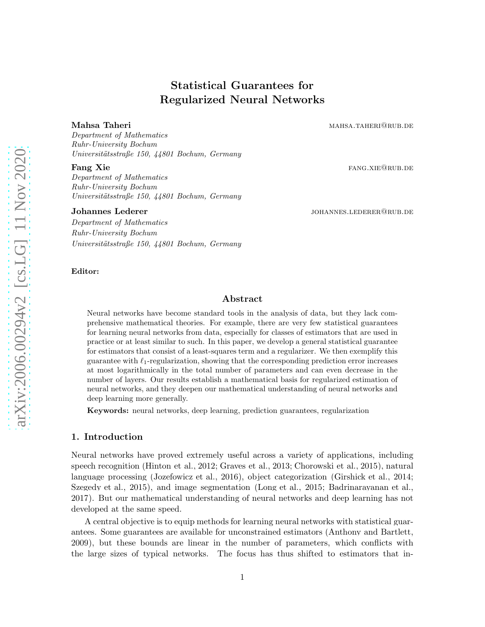# Statistical Guarantees for Regularized Neural Networks

#### Mahsa Taheri mahsarata mahsa.taheri mahsa.taheri mahsa.taheri mahsa.taheri mahsa.taheri mahsa.taheri mahsa

Department of Mathematics Ruhr-University Bochum Universitätsstraße 150, 44801 Bochum, Germany

**Fang Xie fang Sie fang Sie fang Sie fang Sie fang Sie fang Sie fang Sie fang Sie fang Sie fang Sie fang Sie fang Sie fang Sie fang Sie fang Sie fang Sie fang Sie fang Sie fang Sie fang Sie fang Sie fang Sie fang Sie fan** 

Department of Mathematics Ruhr-University Bochum Universitätsstraße 150, 44801 Bochum, Germany

Department of Mathematics Ruhr-University Bochum Universitätsstraße 150, 44801 Bochum, Germany

#### Editor:

#### Johannes Lederer in the settlement of the settlement of the settlement of the settlement of the settlement of the settlement of the settlement of the settlement of the settlement of the settlement of the settlement of the

## Abstract

Neural networks have become standard tools in the analysis of data, but they lack comprehensive mathematical theories. For example, there are very few statistical guarantees for learning neural networks from data, especially for classes of estimators that are used in practice or at least similar to such. In this paper, we develop a general statistical guarantee for estimators that consist of a least-squares term and a regularizer. We then exemplify this guarantee with  $\ell_1$ -regularization, showing that the corresponding prediction error increases at most logarithmically in the total number of parameters and can even decrease in the number of layers. Our results establish a mathematical basis for regularized estimation of neural networks, and they deepen our mathematical understanding of neural networks and deep learning more generally.

Keywords: neural networks, deep learning, prediction guarantees, regularization

## 1. Introduction

Neural networks have proved extremely useful across a variety of applications, including speech recognition [\(Hinton et al.](#page-28-0), [2012;](#page-28-0) [Graves et al.](#page-28-1), [2013](#page-28-1); [Chorowski et al.](#page-27-0), [2015](#page-27-0)), natural language processing [\(Jozefowicz et al., 2016\)](#page-28-2), object categorization [\(Girshick et al.](#page-28-3), [2014](#page-28-3); [Szegedy et al., 2015](#page-29-0)), and image segmentation [\(Long et al.](#page-28-4), [2015](#page-28-4); [Badrinarayanan et al.](#page-27-1), [2017\)](#page-27-1). But our mathematical understanding of neural networks and deep learning has not developed at the same speed.

A central objective is to equip methods for learning neural networks with statistical guarantees. Some guarantees are available for unconstrained estimators [\(Anthony and Bartlett](#page-27-2), [2009\)](#page-27-2), but these bounds are linear in the number of parameters, which conflicts with the large sizes of typical networks. The focus has thus shifted to estimators that in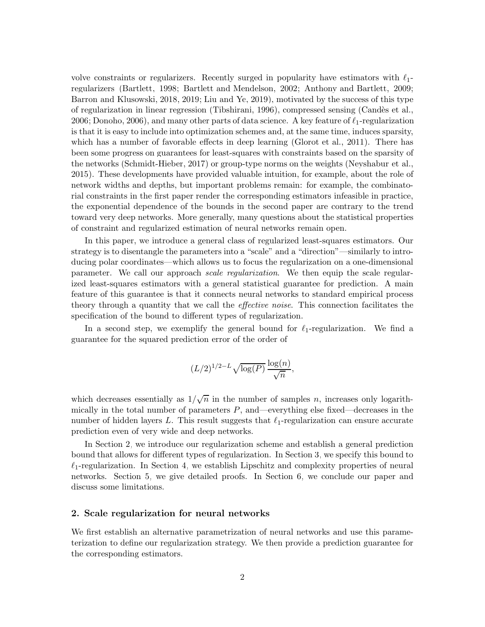volve constraints or regularizers. Recently surged in popularity have estimators with  $\ell_1$ regularizers [\(Bartlett](#page-27-3), [1998](#page-27-3); [Bartlett and Mendelson](#page-27-4), [2002](#page-27-4); [Anthony and Bartlett](#page-27-2), [2009;](#page-27-2) [Barron and Klusowski](#page-27-5), [2018,](#page-27-5) [2019;](#page-27-6) [Liu and Ye, 2019](#page-28-5)), motivated by the success of this type of regularization in linear regression [\(Tibshirani, 1996](#page-29-1)), compressed sensing [\(Cand`es et al.](#page-27-7), [2006;](#page-27-7) [Donoho](#page-27-8), [2006](#page-27-8)), and many other parts of data science. A key feature of  $\ell_1$ -regularization is that it is easy to include into optimization schemes and, at the same time, induces sparsity, which has a number of favorable effects in deep learning [\(Glorot et al., 2011](#page-28-6)). There has been some progress on guarantees for least-squares with constraints based on the sparsity of the networks [\(Schmidt-Hieber](#page-29-2), [2017](#page-29-2)) or group-type norms on the weights [\(Neyshabur et al.](#page-28-7), [2015\)](#page-28-7). These developments have provided valuable intuition, for example, about the role of network widths and depths, but important problems remain: for example, the combinatorial constraints in the first paper render the corresponding estimators infeasible in practice, the exponential dependence of the bounds in the second paper are contrary to the trend toward very deep networks. More generally, many questions about the statistical properties of constraint and regularized estimation of neural networks remain open.

In this paper, we introduce a general class of regularized least-squares estimators. Our strategy is to disentangle the parameters into a "scale" and a "direction"—similarly to introducing polar coordinates—which allows us to focus the regularization on a one-dimensional parameter. We call our approach *scale regularization*. We then equip the scale regularized least-squares estimators with a general statistical guarantee for prediction. A main feature of this guarantee is that it connects neural networks to standard empirical process theory through a quantity that we call the *effective noise*. This connection facilitates the specification of the bound to different types of regularization.

In a second step, we exemplify the general bound for  $\ell_1$ -regularization. We find a guarantee for the squared prediction error of the order of

$$
(L/2)^{1/2-L}\sqrt{\log(P)}\,\frac{\log(n)}{\sqrt{n}},
$$

which decreases essentially as  $1/\sqrt{n}$  in the number of samples n, increases only logarithmically in the total number of parameters  $P$ , and—everything else fixed—decreases in the number of hidden layers L. This result suggests that  $\ell_1$ -regularization can ensure accurate prediction even of very wide and deep networks.

In Section [2,](#page-1-0) we introduce our regularization scheme and establish a general prediction bound that allows for different types of regularization. In Section [3,](#page-5-0) we specify this bound to  $\ell_1$ -regularization. In Section [4,](#page-8-0) we establish Lipschitz and complexity properties of neural networks. Section [5,](#page-9-0) we give detailed proofs. In Section [6,](#page-26-0) we conclude our paper and discuss some limitations.

## <span id="page-1-0"></span>2. Scale regularization for neural networks

We first establish an alternative parametrization of neural networks and use this parameterization to define our regularization strategy. We then provide a prediction guarantee for the corresponding estimators.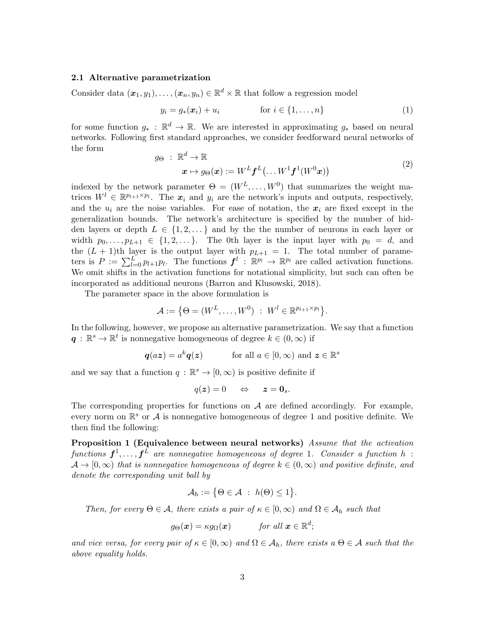## 2.1 Alternative parametrization

Consider data  $(\boldsymbol{x}_1, y_1), \ldots, (\boldsymbol{x}_n, y_n) \in \mathbb{R}^d \times \mathbb{R}$  that follow a regression model

<span id="page-2-2"></span>
$$
y_i = g_*(\boldsymbol{x}_i) + u_i \qquad \text{for } i \in \{1, \dots, n\}
$$
 (1)

<span id="page-2-1"></span>for some function  $g_*$ :  $\mathbb{R}^d \to \mathbb{R}$ . We are interested in approximating  $g_*$  based on neural networks. Following first standard approaches, we consider feedforward neural networks of the form

$$
g_{\Theta} : \mathbb{R}^{d} \to \mathbb{R}
$$
  

$$
\boldsymbol{x} \mapsto g_{\Theta}(\boldsymbol{x}) := W^{L} \boldsymbol{f}^{L}(\dots W^{1} \boldsymbol{f}^{1} (W^{0} \boldsymbol{x}))
$$
 (2)

indexed by the network parameter  $\Theta = (W^L, \ldots, W^0)$  that summarizes the weight matrices  $W^l \in \mathbb{R}^{p_{l+1} \times p_l}$ . The  $x_i$  and  $y_i$  are the network's inputs and outputs, respectively, and the  $u_i$  are the noise variables. For ease of notation, the  $x_i$  are fixed except in the generalization bounds. The network's architecture is specified by the number of hidden layers or depth  $L \in \{1, 2, \dots\}$  and by the the number of neurons in each layer or width  $p_0, \ldots, p_{L+1} \in \{1, 2, \ldots\}$ . The 0th layer is the input layer with  $p_0 = d$ , and the  $(L + 1)$ th layer is the output layer with  $p_{L+1} = 1$ . The total number of parameters is  $P := \sum_{l=0}^{L} p_{l+1} p_l$ . The functions  $f^l : \mathbb{R}^{p_l} \to \mathbb{R}^{p_l}$  are called activation functions. We omit shifts in the activation functions for notational simplicity, but such can often be incorporated as additional neurons [\(Barron and Klusowski,](#page-27-5) [2018](#page-27-5)).

The parameter space in the above formulation is

$$
\mathcal{A} := \{ \Theta = (W^L, \dots, W^0) : W^l \in \mathbb{R}^{p_{l+1} \times p_l} \}.
$$

In the following, however, we propose an alternative parametrization. We say that a function  $\boldsymbol{q} \, : \, \mathbb{R}^s \to \mathbb{R}^t$  is nonnegative homogeneous of degree  $k \in (0,\infty)$  if

$$
q(az) = a^k q(z)
$$
 for all  $a \in [0, \infty)$  and  $z \in \mathbb{R}^s$ 

and we say that a function  $q : \mathbb{R}^s \to [0, \infty)$  is positive definite if

<span id="page-2-0"></span>
$$
q(\boldsymbol{z})=0 \quad \Leftrightarrow \quad \boldsymbol{z}=\boldsymbol{0}_s.
$$

The corresponding properties for functions on  $A$  are defined accordingly. For example, every norm on  $\mathbb{R}^s$  or  $\mathcal A$  is nonnegative homogeneous of degree 1 and positive definite. We then find the following:

Proposition 1 (Equivalence between neural networks) Assume that the activation functions  $\boldsymbol{f}^1,\ldots,\boldsymbol{f}^L$  are nonnegative homogeneous of degree 1. Consider a function  $h$  :  $\mathcal{A} \to [0,\infty)$  that is nonnegative homogeneous of degree  $k \in (0,\infty)$  and positive definite, and denote the corresponding unit ball by

$$
\mathcal{A}_h := \big\{\Theta \in \mathcal{A} \; : \; h(\Theta) \leq 1\big\}.
$$

Then, for every  $\Theta \in \mathcal{A}$ , there exists a pair of  $\kappa \in [0,\infty)$  and  $\Omega \in \mathcal{A}_h$  such that

$$
g_{\Theta}(\boldsymbol{x}) = \kappa g_{\Omega}(\boldsymbol{x})
$$
 for all  $\boldsymbol{x} \in \mathbb{R}^d$ ;

and vice versa, for every pair of  $\kappa \in [0,\infty)$  and  $\Omega \in \mathcal{A}_h$ , there exists a  $\Theta \in \mathcal{A}$  such that the above equality holds.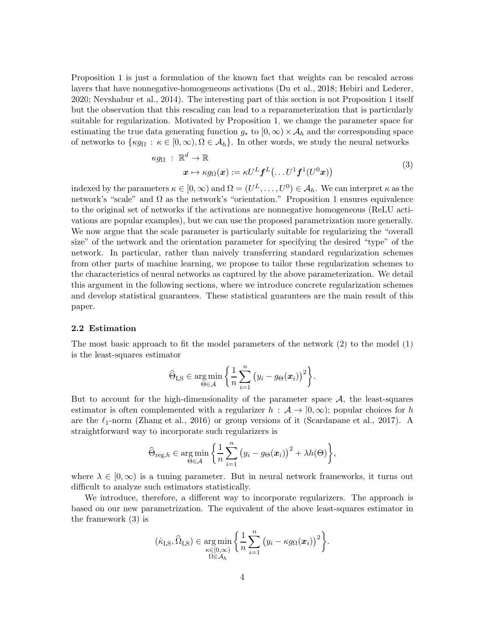Proposition [1](#page-2-0) is just a formulation of the known fact that weights can be rescaled across layers that have nonnegative-homogeneous activations (Du [et al., 2018;](#page-27-9) [Hebiri and Lederer,](#page-28-8) [2020;](#page-28-8) [Neyshabur et al., 2014\)](#page-28-9). The interesting part of this section is not Proposition [1](#page-2-0) itself but the observation that this rescaling can lead to a reparameterization that is particularly suitable for regularization. Motivated by Proposition [1,](#page-2-0) we change the parameter space for estimating the true data generating function  $g_*$  to  $[0,\infty)\times \mathcal{A}_h$  and the corresponding space of networks to  $\{\kappa g_\Omega : \kappa \in [0,\infty), \Omega \in \mathcal{A}_h\}$ . In other words, we study the neural networks

<span id="page-3-0"></span>
$$
\kappa g_{\Omega} : \mathbb{R}^d \to \mathbb{R}
$$
  

$$
\mathbf{x} \mapsto \kappa g_{\Omega}(\mathbf{x}) := \kappa U^L \mathbf{f}^L(\dots U^1 \mathbf{f}^1 (U^0 \mathbf{x}))
$$
 (3)

indexed by the parameters  $\kappa \in [0, \infty)$  and  $\Omega = (U^L, \dots, U^0) \in \mathcal{A}_h$ . We can interpret  $\kappa$  as the network's "scale" and  $\Omega$  as the network's "orientation." Proposition [1](#page-2-0) ensures equivalence to the original set of networks if the activations are nonnegative homogeneous (ReLU activations are popular examples), but we can use the proposed parametrization more generally. We now argue that the scale parameter is particularly suitable for regularizing the "overall size" of the network and the orientation parameter for specifying the desired "type" of the network. In particular, rather than naively transferring standard regularization schemes from other parts of machine learning, we propose to tailor these regularization schemes to the characteristics of neural networks as captured by the above parameterization. We detail this argument in the following sections, where we introduce concrete regularization schemes and develop statistical guarantees. These statistical guarantees are the main result of this paper.

## 2.2 Estimation

The most basic approach to fit the model parameters of the network [\(2\)](#page-2-1) to the model [\(1\)](#page-2-2) is the least-squares estimator

$$
\widehat{\Theta}_{\text{LS}} \in \underset{\Theta \in \mathcal{A}}{\text{arg min}} \left\{ \frac{1}{n} \sum_{i=1}^{n} (y_i - g_{\Theta}(\boldsymbol{x}_i))^2 \right\}.
$$

But to account for the high-dimensionality of the parameter space  $A$ , the least-squares estimator is often complemented with a regularizer  $h : \mathcal{A} \to [0,\infty)$ ; popular choices for h are the  $\ell_1$ -norm [\(Zhang et al.](#page-29-3), [2016\)](#page-29-3) or group versions of it [\(Scardapane et al.](#page-29-4), [2017](#page-29-4)). A straightforward way to incorporate such regularizers is

$$
\widehat{\Theta}_{\mathrm{reg},h} \in \underset{\Theta \in \mathcal{A}}{\mathrm{arg\,min}} \left\{ \frac{1}{n} \sum_{i=1}^{n} \left( y_i - g_{\Theta}(\boldsymbol{x}_i) \right)^2 + \lambda h(\Theta) \right\},\
$$

where  $\lambda \in [0,\infty)$  is a tuning parameter. But in neural network frameworks, it turns out difficult to analyze such estimators statistically.

We introduce, therefore, a different way to incorporate regularizers. The approach is based on our new parametrization. The equivalent of the above least-squares estimator in the framework [\(3\)](#page-3-0) is

$$
(\hat{\kappa}_{LS}, \widehat{\Omega}_{LS}) \in \underset{\Omega \in \mathcal{A}_h}{\arg \min} \left\{ \frac{1}{n} \sum_{i=1}^n (y_i - \kappa g_{\Omega}(\boldsymbol{x}_i))^2 \right\}.
$$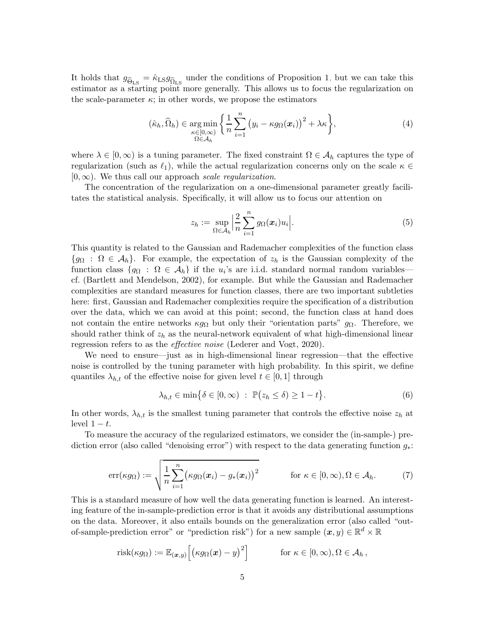It holds that  $g_{\widehat{\Theta}_{LS}} = \widehat{\kappa}_{LS} g_{\widehat{\Omega}_{LS}}$  under the conditions of Proposition [1,](#page-2-0) but we can take this estimator as a starting point more generally. This allows us to focus the regularization on the scale-parameter  $\kappa$ ; in other words, we propose the estimators

<span id="page-4-0"></span>
$$
(\hat{\kappa}_h, \hat{\Omega}_h) \in \underset{\Omega \in \mathcal{A}_h}{\arg \min} \left\{ \frac{1}{n} \sum_{i=1}^n \left( y_i - \kappa g_\Omega(\boldsymbol{x}_i) \right)^2 + \lambda \kappa \right\},\tag{4}
$$

where  $\lambda \in [0,\infty)$  is a tuning parameter. The fixed constraint  $\Omega \in \mathcal{A}_h$  captures the type of regularization (such as  $\ell_1$ ), while the actual regularization concerns only on the scale  $\kappa \in$  $[0,\infty)$ . We thus call our approach scale regularization.

The concentration of the regularization on a one-dimensional parameter greatly facilitates the statistical analysis. Specifically, it will allow us to focus our attention on

$$
z_h := \sup_{\Omega \in \mathcal{A}_h} \left| \frac{2}{n} \sum_{i=1}^n g_\Omega(\boldsymbol{x}_i) u_i \right|.
$$
 (5)

This quantity is related to the Gaussian and Rademacher complexities of the function class  ${g_{\Omega} : \Omega \in \mathcal{A}_h}$ . For example, the expectation of  $z_h$  is the Gaussian complexity of the function class  $\{g_{\Omega} : \Omega \in A_h\}$  if the  $u_i$ 's are i.i.d. standard normal random variables cf. [\(Bartlett and Mendelson, 2002](#page-27-4)), for example. But while the Gaussian and Rademacher complexities are standard measures for function classes, there are two important subtleties here: first, Gaussian and Rademacher complexities require the specification of a distribution over the data, which we can avoid at this point; second, the function class at hand does not contain the entire networks  $\kappa g_{\Omega}$  but only their "orientation parts"  $g_{\Omega}$ . Therefore, we should rather think of  $z_h$  as the neural-network equivalent of what high-dimensional linear regression refers to as the *effective noise* [\(Lederer and Vogt](#page-28-10), [2020](#page-28-10)).

We need to ensure—just as in high-dimensional linear regression—that the effective noise is controlled by the tuning parameter with high probability. In this spirit, we define quantiles  $\lambda_{h,t}$  of the effective noise for given level  $t \in [0,1]$  through

$$
\lambda_{h,t} \in \min\big\{\delta \in [0,\infty) \ : \ \mathbb{P}(z_h \le \delta) \ge 1 - t\big\}.
$$
 (6)

In other words,  $\lambda_{h,t}$  is the smallest tuning parameter that controls the effective noise  $z_h$  at level  $1 - t$ .

<span id="page-4-1"></span>To measure the accuracy of the regularized estimators, we consider the (in-sample-) prediction error (also called "denoising error") with respect to the data generating function  $g_*$ :

$$
\text{err}(\kappa g_{\Omega}) := \sqrt{\frac{1}{n} \sum_{i=1}^{n} (\kappa g_{\Omega}(\boldsymbol{x}_i) - g_*(\boldsymbol{x}_i))^2} \quad \text{for } \kappa \in [0, \infty), \Omega \in \mathcal{A}_h.
$$
 (7)

This is a standard measure of how well the data generating function is learned. An interesting feature of the in-sample-prediction error is that it avoids any distributional assumptions on the data. Moreover, it also entails bounds on the generalization error (also called "outof-sample-prediction error" or "prediction risk") for a new sample  $(x, y) \in \mathbb{R}^d \times \mathbb{R}$ 

$$
\text{risk}(\kappa g_{\Omega}) := \mathbb{E}_{(\boldsymbol{x},y)} \Big[ \big( \kappa g_{\Omega}(\boldsymbol{x}) - y \big)^2 \Big] \qquad \text{for } \kappa \in [0,\infty), \Omega \in \mathcal{A}_h,
$$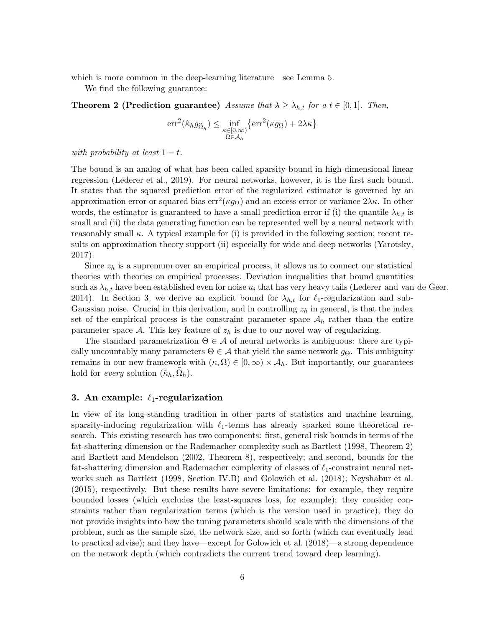which is more common in the deep-learning literature—see Lemma [5.](#page-7-0)

We find the following guarantee:

**Theorem 2 (Prediction guarantee)** Assume that  $\lambda \geq \lambda_{h,t}$  for a  $t \in [0,1]$ . Then,

<span id="page-5-1"></span>
$$
\mathrm{err}^{2}(\hat{\kappa}_{h}g_{\widehat{\Omega}_{h}}) \leq \inf_{\substack{\kappa \in [0,\infty) \\ \Omega \in \mathcal{A}_{h}}} \left\{ \mathrm{err}^{2}(\kappa g_{\Omega}) + 2 \lambda \kappa \right\}
$$

with probability at least  $1-t$ .

The bound is an analog of what has been called sparsity-bound in high-dimensional linear regression [\(Lederer et al., 2019\)](#page-28-11). For neural networks, however, it is the first such bound. It states that the squared prediction error of the regularized estimator is governed by an approximation error or squared bias  $err^2(\kappa g_{\Omega})$  and an excess error or variance  $2\lambda\kappa$ . In other words, the estimator is guaranteed to have a small prediction error if (i) the quantile  $\lambda_{h,t}$  is small and (ii) the data generating function can be represented well by a neural network with reasonably small  $\kappa$ . A typical example for (i) is provided in the following section; recent results on approximation theory support (ii) especially for wide and deep networks [\(Yarotsky](#page-29-5), [2017\)](#page-29-5).

Since  $z_h$  is a supremum over an empirical process, it allows us to connect our statistical theories with theories on empirical processes. Deviation inequalities that bound quantities such as  $\lambda_{h,t}$  have been established even for noise  $u_i$  that has very heavy tails [\(Lederer and van de Geer,](#page-28-12) [2014\)](#page-28-12). In Section [3,](#page-5-0) we derive an explicit bound for  $\lambda_{h,t}$  for  $\ell_1$ -regularization and sub-Gaussian noise. Crucial in this derivation, and in controlling  $z<sub>h</sub>$  in general, is that the index set of the empirical process is the constraint parameter space  $A_h$  rather than the entire parameter space  $A$ . This key feature of  $z<sub>h</sub>$  is due to our novel way of regularizing.

The standard parametrization  $\Theta \in \mathcal{A}$  of neural networks is ambiguous: there are typically uncountably many parameters  $\Theta \in \mathcal{A}$  that yield the same network  $g_{\Theta}$ . This ambiguity remains in our new framework with  $(\kappa, \Omega) \in [0, \infty) \times A_h$ . But importantly, our guarantees hold for *every* solution  $(\hat{\kappa}_h, \Omega_h)$ .

## <span id="page-5-0"></span>3. An example:  $\ell_1$ -regularization

In view of its long-standing tradition in other parts of statistics and machine learning, sparsity-inducing regularization with  $\ell_1$ -terms has already sparked some theoretical research. This existing research has two components: first, general risk bounds in terms of the fat-shattering dimension or the Rademacher complexity such as [Bartlett \(1998](#page-27-3), Theorem 2) and [Bartlett and Mendelson \(2002](#page-27-4), Theorem 8), respectively; and second, bounds for the fat-shattering dimension and Rademacher complexity of classes of  $\ell_1$ -constraint neural networks such as [Bartlett \(1998](#page-27-3), Section IV.B) and [Golowich et al. \(2018](#page-28-13)); [Neyshabur et al.](#page-28-7) [\(2015](#page-28-7)), respectively. But these results have severe limitations: for example, they require bounded losses (which excludes the least-squares loss, for example); they consider constraints rather than regularization terms (which is the version used in practice); they do not provide insights into how the tuning parameters should scale with the dimensions of the problem, such as the sample size, the network size, and so forth (which can eventually lead to practical advise); and they have—except for [Golowich et al. \(2018](#page-28-13))—a strong dependence on the network depth (which contradicts the current trend toward deep learning).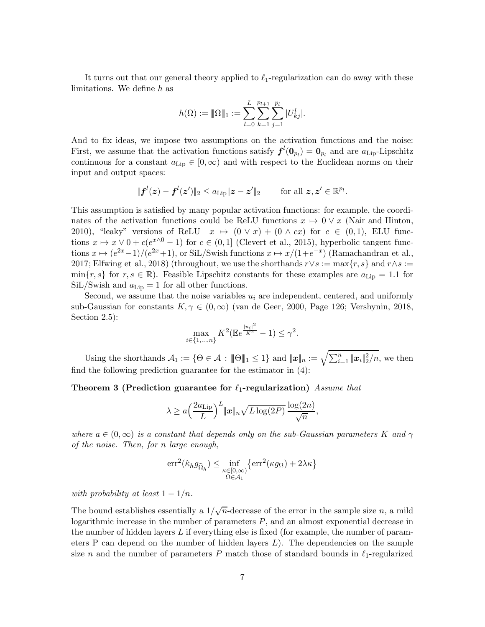It turns out that our general theory applied to  $\ell_1$ -regularization can do away with these limitations. We define h as

$$
h(\Omega) := \|\Omega\|_1 := \sum_{l=0}^L \sum_{k=1}^{p_{l+1}} \sum_{j=1}^{p_l} |U_{kj}^l|.
$$

And to fix ideas, we impose two assumptions on the activation functions and the noise: First, we assume that the activation functions satisfy  $f^l(\mathbf{0}_{p_l}) = \mathbf{0}_{p_l}$  and are  $a_{\text{Lip}}$ -Lipschitz continuous for a constant  $a_{\text{Lip}} \in [0, \infty)$  and with respect to the Euclidean norms on their input and output spaces:

$$
\|\boldsymbol{f}^{l}(\boldsymbol{z})-\boldsymbol{f}^{l}(\boldsymbol{z}')\|_{2}\leq a_{\mathrm{Lip}}\|\boldsymbol{z}-\boldsymbol{z}'\|_{2}\qquad \text{ for all } \boldsymbol{z},\boldsymbol{z}'\in\mathbb{R}^{p_{l}}.
$$

This assumption is satisfied by many popular activation functions: for example, the coordinates of the activation functions could be ReLU functions  $x \mapsto 0 \vee x$  [\(Nair and Hinton,](#page-28-14) [2010\)](#page-28-14), "leaky" versions of ReLU  $x \mapsto (0 \vee x) + (0 \wedge cx)$  for  $c \in (0,1)$ , ELU functions  $x \mapsto x \vee 0 + c(e^{x \wedge 0} - 1)$  for  $c \in (0, 1]$  [\(Clevert et al.](#page-27-10), [2015](#page-27-10)), hyperbolic tangent functions  $x \mapsto (e^{2x}-1)/(e^{2x}+1)$ , or SiL/Swish functions  $x \mapsto x/(1+e^{-x})$  [\(Ramachandran et al.,](#page-28-15) [2017;](#page-28-15) [Elfwing et al.](#page-27-11), [2018](#page-27-11)) (throughout, we use the shorthands  $r \vee s := \max\{r, s\}$  and  $r \wedge s :=$  $\min\{r, s\}$  for  $r, s \in \mathbb{R}$ ). Feasible Lipschitz constants for these examples are  $a_{\text{Lip}} = 1.1$  for  $\rm SiL/Swish$  and  $a_{\rm Lip} = 1$  for all other functions.

Second, we assume that the noise variables  $u_i$  are independent, centered, and uniformly sub-Gaussian for constants  $K, \gamma \in (0, \infty)$  [\(van de Geer](#page-29-6), [2000](#page-29-6), Page 126; [Vershynin, 2018,](#page-29-7) Section 2.5):

<span id="page-6-0"></span>
$$
\max_{i \in \{1, ..., n\}} K^2(\mathbb{E}e^{\frac{|u_i|^2}{K^2}} - 1) \le \gamma^2.
$$

Using the shorthands  $\mathcal{A}_1 := \{ \Theta \in \mathcal{A} : \|\Theta\|_1 \leq 1 \}$  and  $\|\boldsymbol{x}\|_n := \sqrt{\sum_{i=1}^n \|\boldsymbol{x}_i\|_2^2/n}$ , we then find the following prediction guarantee for the estimator in [\(4\)](#page-4-0):

Theorem 3 (Prediction guarantee for  $\ell_1$ -regularization) Assume that

$$
\lambda \ge a \left(\frac{2a_{\text{Lip}}}{L}\right)^L \|\boldsymbol{x}\|_n \sqrt{L \log(2P)} \frac{\log(2n)}{\sqrt{n}},
$$

where  $a \in (0,\infty)$  is a constant that depends only on the sub-Gaussian parameters K and  $\gamma$ of the noise. Then, for n large enough,

$$
\mathrm{err}^{2}(\hat{\kappa}_{h}g_{\widehat{\Omega}_{h}}) \leq \inf_{\substack{\kappa \in [0,\infty) \\ \Omega \in \mathcal{A}_{1}}} \left\{ \mathrm{err}^{2}(\kappa g_{\Omega}) + 2 \lambda \kappa \right\}
$$

with probability at least  $1 - 1/n$ .

The bound establishes essentially a  $1/\sqrt{n}$ -decrease of the error in the sample size n, a mild logarithmic increase in the number of parameters  $P$ , and an almost exponential decrease in the number of hidden layers L if everything else is fixed (for example, the number of parameters P can depend on the number of hidden layers  $L$ ). The dependencies on the sample size n and the number of parameters P match those of standard bounds in  $\ell_1$ -regularized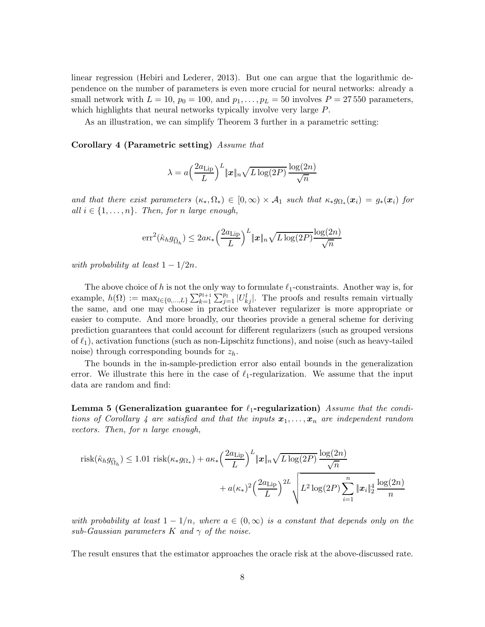linear regression [\(Hebiri and Lederer, 2013](#page-28-16)). But one can argue that the logarithmic dependence on the number of parameters is even more crucial for neural networks: already a small network with  $L = 10$ ,  $p_0 = 100$ , and  $p_1, \ldots, p_L = 50$  involves  $P = 27,550$  parameters, which highlights that neural networks typically involve very large  $P$ .

As an illustration, we can simplify Theorem [3](#page-6-0) further in a parametric setting:

Corollary 4 (Parametric setting) Assume that

<span id="page-7-1"></span>
$$
\lambda = a \left(\frac{2a_{\text{Lip}}}{L}\right)^L \|x\|_n \sqrt{L \log(2P)} \frac{\log(2n)}{\sqrt{n}}
$$

and that there exist parameters  $(\kappa_*, \Omega_*) \in [0, \infty) \times A_1$  such that  $\kappa_* g_{\Omega_*}(x_i) = g_*(x_i)$  for all  $i \in \{1, \ldots, n\}$ . Then, for n large enough,

$$
\mathrm{err}^{2}(\hat{\kappa}_{h} g_{\widehat{\Omega}_{h}}) \leq 2a\kappa_{*} \left(\frac{2a_{\mathrm{Lip}}}{L}\right)^{L} \|x\|_{n} \sqrt{L \log(2P)} \frac{\log(2n)}{\sqrt{n}}
$$

with probability at least  $1 - 1/2n$ .

The above choice of h is not the only way to formulate  $\ell_1$ -constraints. Another way is, for example,  $h(\Omega) := \max_{l \in \{0,\ldots,L\}} \sum_{k=1}^{p_{l+1}} \sum_{j=1}^{p_l} |U_{kj}^l|$ . The proofs and results remain virtually the same, and one may choose in practice whatever regularizer is more appropriate or easier to compute. And more broadly, our theories provide a general scheme for deriving prediction guarantees that could account for different regularizers (such as grouped versions of  $\ell_1$ ), activation functions (such as non-Lipschitz functions), and noise (such as heavy-tailed noise) through corresponding bounds for  $z_h$ .

<span id="page-7-0"></span>The bounds in the in-sample-prediction error also entail bounds in the generalization error. We illustrate this here in the case of  $\ell_1$ -regularization. We assume that the input data are random and find:

Lemma 5 (Generalization guarantee for  $\ell_1$ -regularization) Assume that the condi-tions of Corollary [4](#page-7-1) are satisfied and that the inputs  $x_1, \ldots, x_n$  are independent random vectors. Then, for n large enough,

$$
\text{risk}(\hat{\kappa}_h g_{\widehat{\Omega}_h}) \le 1.01 \text{ risk}(\kappa_* g_{\Omega_*}) + a\kappa_* \left(\frac{2a_{\text{Lip}}}{L}\right)^L \|\boldsymbol{x}\|_n \sqrt{L \log(2P)} \frac{\log(2n)}{\sqrt{n}} + a(\kappa_*)^2 \left(\frac{2a_{\text{Lip}}}{L}\right)^{2L} \sqrt{L^2 \log(2P) \sum_{i=1}^n \|\boldsymbol{x}_i\|_2^4} \frac{\log(2n)}{n}
$$

with probability at least  $1 - 1/n$ , where  $a \in (0, \infty)$  is a constant that depends only on the sub-Gaussian parameters K and  $\gamma$  of the noise.

The result ensures that the estimator approaches the oracle risk at the above-discussed rate.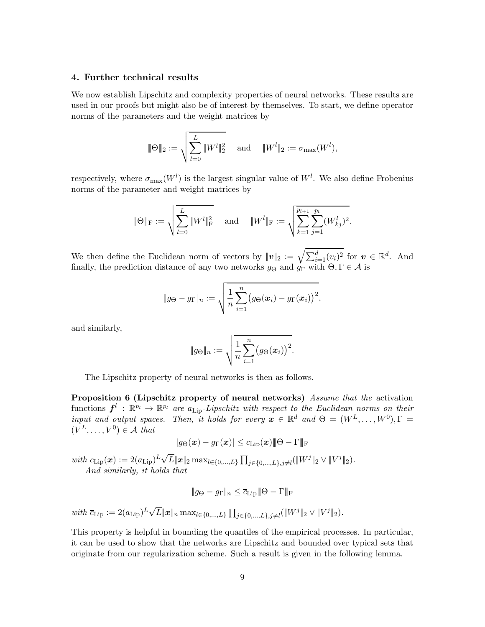## <span id="page-8-0"></span>4. Further technical results

We now establish Lipschitz and complexity properties of neural networks. These results are used in our proofs but might also be of interest by themselves. To start, we define operator norms of the parameters and the weight matrices by

$$
\|\Theta\|_2 := \sqrt{\sum_{l=0}^L \|W^l\|_2^2} \quad \text{ and } \quad \|W^l\|_2 := \sigma_{\max}(W^l),
$$

respectively, where  $\sigma_{\max}(W^l)$  is the largest singular value of  $W^l$ . We also define Frobenius norms of the parameter and weight matrices by

$$
|\!|\!| \Theta |\!|\!|_{\rm F}:=\sqrt{\sum_{l=0}^L\|W^l\|_{\rm F}^2}\quad \text{ and }\quad \|W^l\|_{\rm F}:=\sqrt{\sum_{k=1}^{p_{l+1}}\sum_{j=1}^{p_l}(W^l_{kj})^2}.
$$

We then define the Euclidean norm of vectors by  $||v||_2 := \sqrt{\sum_{i=1}^d (v_i)^2}$  for  $v \in \mathbb{R}^d$ . And finally, the prediction distance of any two networks  $g_{\Theta}$  and  $g_{\Gamma}$  with  $\Theta, \Gamma \in \mathcal{A}$  is

$$
\|g_{\Theta}-g_{\Gamma}\|_n:=\sqrt{\frac{1}{n}\sum_{i=1}^n(g_{\Theta}(\boldsymbol{x}_i)-g_{\Gamma}(\boldsymbol{x}_i))^2},
$$

and similarly,

<span id="page-8-1"></span>
$$
||g_{\Theta}||_n := \sqrt{\frac{1}{n} \sum_{i=1}^n (g_{\Theta}(\boldsymbol{x}_i))^2}.
$$

The Lipschitz property of neural networks is then as follows.

Proposition 6 (Lipschitz property of neural networks) Assume that the activation functions  $f^l : \mathbb{R}^{p_l} \to \mathbb{R}^{p_l}$  are  $a_{\text{Lip}}$ -Lipschitz with respect to the Euclidean norms on their input and output spaces. Then, it holds for every  $\mathbf{x} \in \mathbb{R}^d$  and  $\Theta = (W^L, \dots, W^0), \Gamma =$  $(V^L, \ldots, V^0) \in \mathcal{A}$  that

$$
|g_{\Theta}(\boldsymbol{x}) - g_{\Gamma}(\boldsymbol{x})| \leq c_{\text{Lip}}(\boldsymbol{x}) |\!|\!| \Theta - \Gamma |\!|\!|_{\text{F}}
$$

 $with \ c_{\text{Lip}}(\boldsymbol{x}) := 2(a_{\text{Lip}})^L \sqrt{L} \|\boldsymbol{x}\|_2 \max_{l \in \{0, ..., L\}} \prod_{j \in \{0, ..., L\}, j \neq l} (\|W^j\|_2 \vee \|V^j\|_2).$ And similarly, it holds that

<span id="page-8-2"></span>
$$
\|g_{\Theta} - g_{\Gamma}\|_{n} \leq \overline{c_{\text{Lip}}} \|\Theta - \Gamma\|_{\text{F}}
$$

 $with \ \overline{c}_{\text{Lip}} := 2(a_{\text{Lip}})^L \sqrt{L} ||x||_n \max_{l \in \{0, ..., L\}} \prod_{j \in \{0, ..., L\}, j \neq l} (\Vert W^j \Vert_2 \vee \Vert V^j \Vert_2).$ 

This property is helpful in bounding the quantiles of the empirical processes. In particular, it can be used to show that the networks are Lipschitz and bounded over typical sets that originate from our regularization scheme. Such a result is given in the following lemma.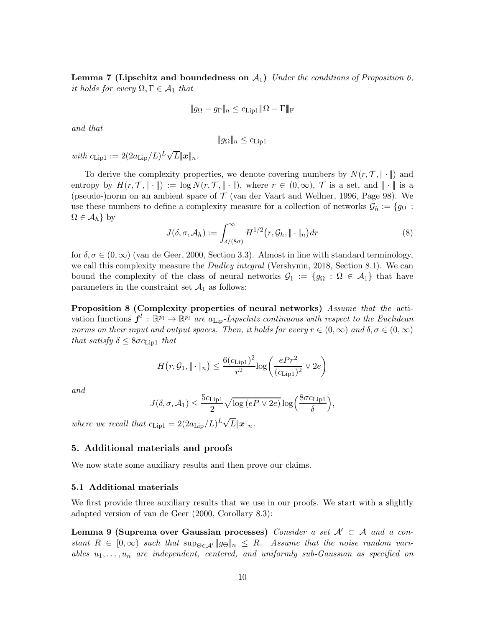**Lemma 7 (Lipschitz and boundedness on**  $A_1$ **)** Under the conditions of Proposition [6,](#page-8-1) it holds for every  $\Omega, \Gamma \in \mathcal{A}_1$  that

$$
\|g_{\Omega} - g_{\Gamma}\|_{n} \leq c_{\text{Lip1}} \|\Omega - \Gamma\|_{\text{F}}
$$

and that

$$
||g_{\Omega}||_n \leq c_{\text{Lip1}}
$$

with  $c_{\text{Lip1}} := 2(2a_{\text{Lip}}/L)^L \sqrt{L} ||\boldsymbol{x}||_n$ .

To derive the complexity properties, we denote covering numbers by  $N(r, \mathcal{T}, \|\cdot\|)$  and entropy by  $H(r, \mathcal{T}, \|\cdot\|) := \log N(r, \mathcal{T}, \|\cdot\|)$ , where  $r \in (0, \infty)$ ,  $\mathcal{T}$  is a set, and  $\|\cdot\|$  is a (pseudo-)norm on an ambient space of  $\mathcal T$  [\(van der Vaart and Wellner](#page-29-8), [1996](#page-29-8), Page 98). We use these numbers to define a complexity measure for a collection of networks  $\mathcal{G}_h := \{g_{\Omega} :$  $\Omega \in \mathcal{A}_h$ } by

<span id="page-9-3"></span>
$$
J(\delta, \sigma, \mathcal{A}_h) := \int_{\delta/(8\sigma)}^{\infty} H^{1/2}(r, \mathcal{G}_h, \| \cdot \|_n) dr
$$
 (8)

for  $\delta, \sigma \in (0,\infty)$  [\(van de Geer](#page-29-6), [2000,](#page-29-6) Section 3.3). Almost in line with standard terminology, we call this complexity measure the *Dudley integral* [\(Vershynin](#page-29-7), [2018](#page-29-7), Section 8.1). We can bound the complexity of the class of neural networks  $\mathcal{G}_1 := \{g_{\Omega} : \Omega \in \mathcal{A}_1\}$  that have parameters in the constraint set  $\mathcal{A}_1$  as follows:

<span id="page-9-2"></span>Proposition 8 (Complexity properties of neural networks) Assume that the activation functions  $f^l : \mathbb{R}^{p_l} \to \mathbb{R}^{p_l}$  are  $a_{\text{Lip}}$ -Lipschitz continuous with respect to the Euclidean norms on their input and output spaces. Then, it holds for every  $r \in (0,\infty)$  and  $\delta, \sigma \in (0,\infty)$ that satisfy  $\delta \leq 8\sigma c_{\text{Lin}}$  that

$$
H(r, \mathcal{G}_1, \|\cdot\|_n) \le \frac{6(c_{\text{Lip1}})^2}{r^2} \log \left(\frac{ePr^2}{(c_{\text{Lip1}})^2} \vee 2e\right)
$$

and

<span id="page-9-1"></span>
$$
J(\delta, \sigma, \mathcal{A}_1) \leq \frac{5c_{\text{Lip1}}}{2} \sqrt{\log(eP \vee 2e)} \log\left(\frac{8\sigma c_{\text{Lip1}}}{\delta}\right),
$$

where we recall that  $c_{\text{Lip1}} = 2(2a_{\text{Lip}}/L)^L \sqrt{L} ||x||_n$ .

## <span id="page-9-0"></span>5. Additional materials and proofs

We now state some auxiliary results and then prove our claims.

#### 5.1 Additional materials

We first provide three auxiliary results that we use in our proofs. We start with a slightly adapted version of [van de Geer \(2000](#page-29-6), Corollary 8.3):

**Lemma 9 (Suprema over Gaussian processes)** Consider a set  $\mathcal{A}' \subset \mathcal{A}$  and a constant  $R \in [0,\infty)$  such that  $\sup_{\Theta \in \mathcal{A}'} \|g_{\Theta}\|_n \leq R$ . Assume that the noise random variables  $u_1, \ldots, u_n$  are independent, centered, and uniformly sub-Gaussian as specified on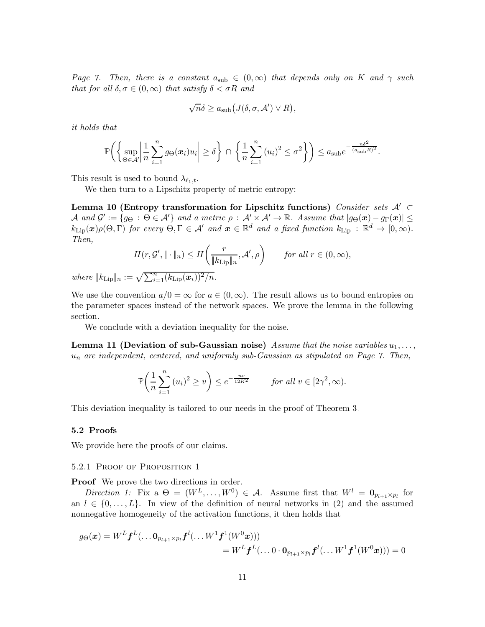Page [7.](#page-5-0) Then, there is a constant  $a_{sub} \in (0,\infty)$  that depends only on K and  $\gamma$  such that for all  $\delta, \sigma \in (0, \infty)$  that satisfy  $\delta < \sigma R$  and

<span id="page-10-1"></span>
$$
\sqrt{n}\delta \ge a_{\text{sub}}(J(\delta, \sigma, \mathcal{A}') \vee R),
$$

it holds that

$$
\mathbb{P}\bigg(\bigg\{\sup_{\Theta\in\mathcal{A}'}\bigg|\frac{1}{n}\sum_{i=1}^ng_{\Theta}(\boldsymbol{x}_i)u_i\bigg|\geq \delta\bigg\}\,\cap\,\bigg\{\frac{1}{n}\sum_{i=1}^n\left(u_i\right)^2\leq \sigma^2\bigg\}\bigg)\leq a_{\text{sub}}e^{-\frac{n\delta^2}{(a_{\text{sub}}R)^2}}.
$$

This result is used to bound  $\lambda_{\ell_1,t}$ .

We then turn to a Lipschitz property of metric entropy:

Lemma 10 (Entropy transformation for Lipschitz functions) Consider sets  $\mathcal{A}' \subset$  $\mathcal A$  and  $\mathcal G' := \{g_{\Theta} : \Theta \in \mathcal A'\}$  and a metric  $\rho : \mathcal A' \times \mathcal A' \to \mathbb R$ . Assume that  $|g_{\Theta}(\boldsymbol x) - g_{\Gamma}(\boldsymbol x)| \leq$  $k_{\text{Lip}}(\bm{x})\rho(\Theta,\Gamma)$  for every  $\Theta,\Gamma \in \mathcal{A}'$  and  $\bm{x} \in \mathbb{R}^d$  and a fixed function  $k_{\text{Lip}} : \mathbb{R}^d \to [0,\infty)$ . Then,

$$
H(r, \mathcal{G}', \|\cdot\|_{n}) \leq H\left(\frac{r}{\|k_{\text{Lip}}\|_{n}}, \mathcal{A}', \rho\right) \qquad \text{for all } r \in (0, \infty),
$$

where  $||k_{\text{Lip}}||_n := \sqrt{\sum_{i=1}^n (k_{\text{Lip}}(\boldsymbol{x}_i))^2/n}$ .

We use the convention  $a/0 = \infty$  for  $a \in (0, \infty)$ . The result allows us to bound entropies on the parameter spaces instead of the network spaces. We prove the lemma in the following section.

We conclude with a deviation inequality for the noise.

**Lemma 11 (Deviation of sub-Gaussian noise)** Assume that the noise variables  $u_1, \ldots,$  $u_n$  are independent, centered, and uniformly sub-Gaussian as stipulated on Page [7.](#page-5-0) Then,

<span id="page-10-0"></span>
$$
\mathbb{P}\bigg(\frac{1}{n}\sum_{i=1}^n (u_i)^2 \ge v\bigg) \le e^{-\frac{nv}{12K^2}} \qquad \text{for all } v \in [2\gamma^2, \infty).
$$

This deviation inequality is tailored to our needs in the proof of Theorem [3.](#page-6-0)

#### 5.2 Proofs

We provide here the proofs of our claims.

#### 5.2.1 Proof of Proposition [1](#page-2-0)

**Proof** We prove the two directions in order.

Direction 1: Fix a  $\Theta = (W^L, \dots, W^0) \in \mathcal{A}$ . Assume first that  $W^l = \mathbf{0}_{p_{l+1} \times p_l}$  for an  $l \in \{0, \ldots, L\}$ . In view of the definition of neural networks in [\(2\)](#page-2-1) and the assumed nonnegative homogeneity of the activation functions, it then holds that

$$
g_{\Theta}(\boldsymbol{x}) = W^{L} \boldsymbol{f}^{L}(\dots \boldsymbol{0}_{p_{l+1} \times p_l} \boldsymbol{f}^{l}(\dots W^{1} \boldsymbol{f}^{1}(W^{0} \boldsymbol{x})))
$$
  
= 
$$
W^{L} \boldsymbol{f}^{L}(\dots 0 \cdot \boldsymbol{0}_{p_{l+1} \times p_l} \boldsymbol{f}^{l}(\dots W^{1} \boldsymbol{f}^{1}(W^{0} \boldsymbol{x}))) = 0
$$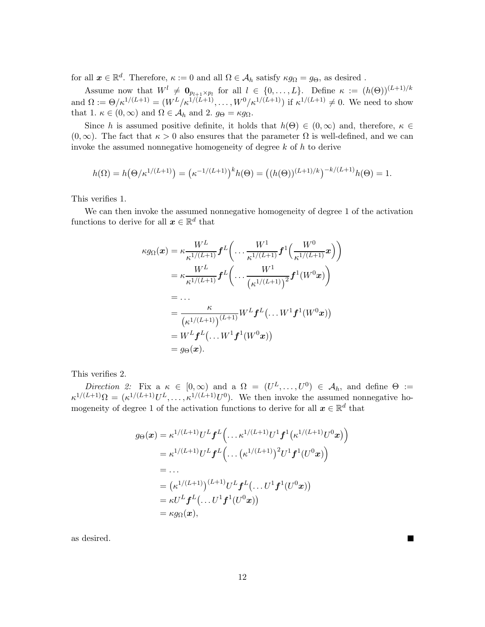for all  $x \in \mathbb{R}^d$ . Therefore,  $\kappa := 0$  and all  $\Omega \in \mathcal{A}_h$  satisfy  $\kappa g_\Omega = g_\Theta$ , as desired.

Assume now that  $W^l \neq \mathbf{0}_{p_{l+1}\times p_l}$  for all  $l \in \{0,\ldots,L\}$ . Define  $\kappa := (h(\Theta))^{(L+1)/k}$ and  $\Omega := \Theta / \kappa^{1/(L+1)} = (W^L / \kappa^{1/(L+1)}, \dots, W^0 / \kappa^{1/(L+1)})$  if  $\kappa^{1/(L+1)} \neq 0$ . We need to show that 1.  $\kappa \in (0, \infty)$  and  $\Omega \in \mathcal{A}_h$  and 2.  $g_{\Theta} = \kappa g_{\Omega}$ .

Since h is assumed positive definite, it holds that  $h(\Theta) \in (0,\infty)$  and, therefore,  $\kappa \in$  $(0,\infty)$ . The fact that  $\kappa > 0$  also ensures that the parameter  $\Omega$  is well-defined, and we can invoke the assumed nonnegative homogeneity of degree  $k$  of  $h$  to derive

$$
h(\Omega) = h(\Theta/\kappa^{1/(L+1)}) = (\kappa^{-1/(L+1)})^k h(\Theta) = ((h(\Theta))^{(L+1)/k})^{-k/(L+1)} h(\Theta) = 1.
$$

This verifies 1.

We can then invoke the assumed nonnegative homogeneity of degree 1 of the activation functions to derive for all  $\boldsymbol{x} \in \mathbb{R}^d$  that

$$
\kappa g_{\Omega}(\boldsymbol{x}) = \kappa \frac{W^{L}}{\kappa^{1/(L+1)}} f^{L} \bigg( \dots \frac{W^{1}}{\kappa^{1/(L+1)}} f^{1} \bigg( \frac{W^{0}}{\kappa^{1/(L+1)}} \boldsymbol{x} \bigg) \bigg)
$$
  
=  $\kappa \frac{W^{L}}{\kappa^{1/(L+1)}} f^{L} \bigg( \dots \frac{W^{1}}{(\kappa^{1/(L+1)})^{2}} f^{1}(W^{0} \boldsymbol{x}) \bigg)$   
=  $\dots$   
=  $\frac{\kappa}{(\kappa^{1/(L+1)})^{(L+1)}} W^{L} f^{L} \big( \dots W^{1} f^{1}(W^{0} \boldsymbol{x}) \big)$   
=  $W^{L} f^{L} \big( \dots W^{1} f^{1}(W^{0} \boldsymbol{x}) \big)$   
=  $g_{\Theta}(\boldsymbol{x}).$ 

This verifies 2.

Direction 2: Fix  $a \kappa \in [0, \infty)$  and  $a \Omega = (U^L, \ldots, U^0) \in \mathcal{A}_h$ , and define  $\Theta :=$  $\kappa^{1/(L+1)}\Omega = (\kappa^{1/(L+1)}U^L, \ldots, \kappa^{1/(L+1)}U^0)$ . We then invoke the assumed nonnegative homogeneity of degree 1 of the activation functions to derive for all  $\boldsymbol{x} \in \mathbb{R}^d$  that

$$
g_{\Theta}(\boldsymbol{x}) = \kappa^{1/(L+1)} U^{L} \boldsymbol{f}^{L} \Big( \dots \kappa^{1/(L+1)} U^{1} \boldsymbol{f}^{1} (\kappa^{1/(L+1)} U^{0} \boldsymbol{x}) \Big)
$$
  
\n
$$
= \kappa^{1/(L+1)} U^{L} \boldsymbol{f}^{L} \Big( \dots (\kappa^{1/(L+1)})^{2} U^{1} \boldsymbol{f}^{1} (U^{0} \boldsymbol{x}) \Big)
$$
  
\n
$$
= \dots
$$
  
\n
$$
= (\kappa^{1/(L+1)})^{(L+1)} U^{L} \boldsymbol{f}^{L} (\dots U^{1} \boldsymbol{f}^{1} (U^{0} \boldsymbol{x}))
$$
  
\n
$$
= \kappa U^{L} \boldsymbol{f}^{L} (\dots U^{1} \boldsymbol{f}^{1} (U^{0} \boldsymbol{x}))
$$
  
\n
$$
= \kappa g_{\Omega}(\boldsymbol{x}),
$$

as desired.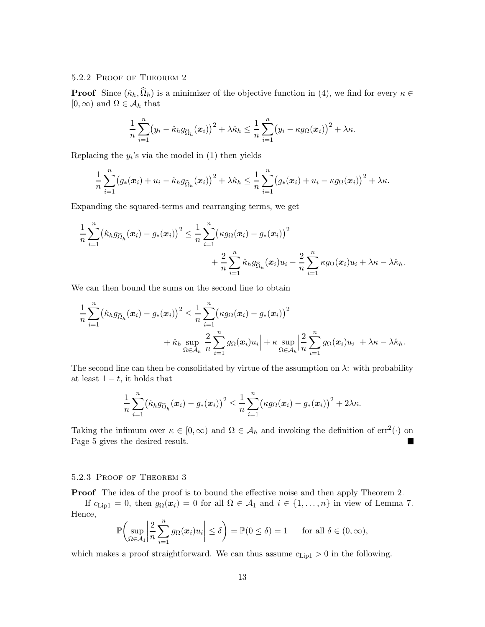## 5.2.2 Proof of Theorem [2](#page-5-1)

**Proof** Since  $(\hat{\kappa}_h, \Omega_h)$  is a minimizer of the objective function in [\(4\)](#page-4-0), we find for every  $\kappa \in$  $[0,\infty)$  and  $\Omega \in \mathcal{A}_h$  that

$$
\frac{1}{n}\sum_{i=1}^n (y_i - \hat{\kappa}_h g_{\widehat{\Omega}_h}(\boldsymbol{x}_i))^2 + \lambda \hat{\kappa}_h \leq \frac{1}{n}\sum_{i=1}^n (y_i - \kappa g_{\Omega}(\boldsymbol{x}_i))^2 + \lambda \kappa.
$$

Replacing the  $y_i$ 's via the model in [\(1\)](#page-2-2) then yields

$$
\frac{1}{n}\sum_{i=1}^n(g_*(\boldsymbol{x}_i)+u_i-\hat{\kappa}_h g_{\widehat{\Omega}_h}(\boldsymbol{x}_i))^2+\lambda\hat{\kappa}_h\leq \frac{1}{n}\sum_{i=1}^n(g_*(\boldsymbol{x}_i)+u_i-\kappa g_{\Omega}(\boldsymbol{x}_i))^2+\lambda\kappa.
$$

Expanding the squared-terms and rearranging terms, we get

$$
\frac{1}{n}\sum_{i=1}^n (\hat{\kappa}_h g_{\widehat{\Omega}_h}(\boldsymbol{x}_i) - g_*(\boldsymbol{x}_i))^2 \leq \frac{1}{n}\sum_{i=1}^n (\kappa g_{\Omega}(\boldsymbol{x}_i) - g_*(\boldsymbol{x}_i))^2 + \frac{2}{n}\sum_{i=1}^n \hat{\kappa}_h g_{\widehat{\Omega}_h}(\boldsymbol{x}_i)u_i - \frac{2}{n}\sum_{i=1}^n \kappa g_{\Omega}(\boldsymbol{x}_i)u_i + \lambda \kappa - \lambda \hat{\kappa}_h.
$$

We can then bound the sums on the second line to obtain

$$
\frac{1}{n}\sum_{i=1}^n (\hat{\kappa}_h g_{\widehat{\Omega}_h}(\boldsymbol{x}_i) - g_*(\boldsymbol{x}_i))^2 \leq \frac{1}{n}\sum_{i=1}^n (\kappa g_{\Omega}(\boldsymbol{x}_i) - g_*(\boldsymbol{x}_i))^2 \n+ \hat{\kappa}_h \sup_{\Omega \in \mathcal{A}_h} \Big| \frac{2}{n}\sum_{i=1}^n g_{\Omega}(\boldsymbol{x}_i)u_i \Big| + \kappa \sup_{\Omega \in \mathcal{A}_h} \Big| \frac{2}{n}\sum_{i=1}^n g_{\Omega}(\boldsymbol{x}_i)u_i \Big| + \lambda \kappa - \lambda \hat{\kappa}_h.
$$

The second line can then be consolidated by virtue of the assumption on  $\lambda$ : with probability at least  $1 - t$ , it holds that

$$
\frac{1}{n}\sum_{i=1}^n \bigl(\hat\kappa_h g_{\widehat{\Omega}_h}(\boldsymbol{x}_i)-g_*(\boldsymbol{x}_i)\bigr)^2\leq \frac{1}{n}\sum_{i=1}^n \bigl(\kappa g_\Omega(\boldsymbol{x}_i)-g_*(\boldsymbol{x}_i)\bigr)^2+2\lambda\kappa.
$$

Taking the infimum over  $\kappa \in [0, \infty)$  and  $\Omega \in \mathcal{A}_h$  and invoking the definition of  $err^2(\cdot)$  on Page [5](#page-4-1) gives the desired result.

## 5.2.3 Proof of Theorem [3](#page-6-0)

Proof The idea of the proof is to bound the effective noise and then apply Theorem [2.](#page-5-1)

If  $c_{\text{Lip1}} = 0$ , then  $g_{\Omega}(\boldsymbol{x}_i) = 0$  for all  $\Omega \in \mathcal{A}_1$  and  $i \in \{1, ..., n\}$  in view of Lemma [7.](#page-8-2) Hence,

$$
\mathbb{P}\bigg(\sup_{\Omega\in\mathcal{A}_1}\bigg|\frac{2}{n}\sum_{i=1}^n g_\Omega(\boldsymbol{x}_i)u_i\bigg|\leq \delta\bigg)=\mathbb{P}(0\leq \delta)=1 \quad \text{for all }\delta\in(0,\infty),
$$

which makes a proof straightforward. We can thus assume  $c_{\text{Lip1}} > 0$  in the following.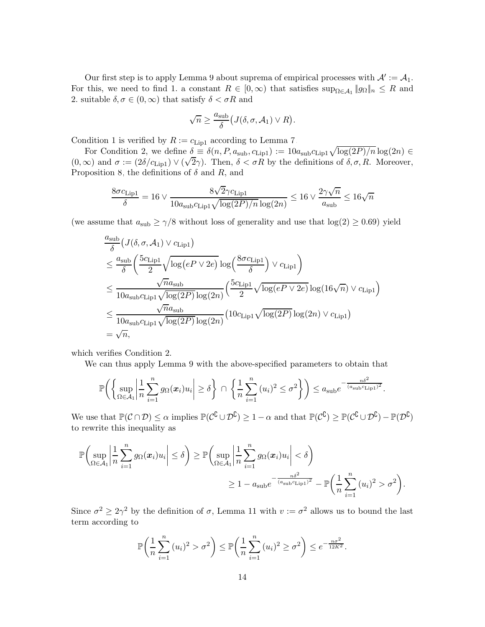Our first step is to apply Lemma [9](#page-9-1) about suprema of empirical processes with  $\mathcal{A}' := \mathcal{A}_1$ . For this, we need to find 1. a constant  $R \in [0, \infty)$  that satisfies  $\sup_{\Omega \in \mathcal{A}_1} ||g_{\Omega}||_n \leq R$  and 2. suitable  $\delta, \sigma \in (0, \infty)$  that satisfy  $\delta < \sigma R$  and

$$
\sqrt{n} \ge \frac{a_{\text{sub}}}{\delta} (J(\delta, \sigma, \mathcal{A}_1) \vee R).
$$

Condition 1 is verified by  $R := c_{\text{Lip1}}$  according to Lemma [7.](#page-8-2)

For Condition 2, we define  $\delta \equiv \delta(n, P, a_{\text{sub}}, c_{\text{Lip1}}) := 10 a_{\text{sub}} c_{\text{Lip1}} \sqrt{\log(2P)/n} \log(2n) \in$ (0, ∞) and  $\sigma := (2\delta/c_{\text{Lip1}}) \vee (\sqrt{2}\gamma)$ . Then,  $\delta < \sigma R$  by the definitions of  $\delta, \sigma, R$ . Moreover, Proposition [8,](#page-9-2) the definitions of  $\delta$  and R, and

$$
\frac{8\sigma c_{\rm Lip1}}{\delta} = 16 \vee \frac{8\sqrt{2}\gamma c_{\rm Lip1}}{10a_{\rm sub}c_{\rm Lip1}\sqrt{\log(2P)/n}\log(2n)} \leq 16 \vee \frac{2\gamma\sqrt{n}}{a_{\rm sub}} \leq 16\sqrt{n}
$$

(we assume that  $a_{sub} \ge \gamma/8$  without loss of generality and use that  $log(2) \ge 0.69$ ) yield

$$
\frac{a_{\text{sub}}}{\delta} (J(\delta, \sigma, \mathcal{A}_1) \vee c_{\text{Lip1}})
$$
\n
$$
\leq \frac{a_{\text{sub}}}{\delta} \left( \frac{5c_{\text{Lip1}}}{2} \sqrt{\log(eP \vee 2e)} \log \left( \frac{8\sigma c_{\text{Lip1}}}{\delta} \right) \vee c_{\text{Lip1}} \right)
$$
\n
$$
\leq \frac{\sqrt{n}a_{\text{sub}}}{10a_{\text{sub}}c_{\text{Lip1}}\sqrt{\log(2P)} \log(2n)} \left( \frac{5c_{\text{Lip1}}}{2} \sqrt{\log(eP \vee 2e)} \log(16\sqrt{n}) \vee c_{\text{Lip1}} \right)
$$
\n
$$
\leq \frac{\sqrt{n}a_{\text{sub}}}{10a_{\text{sub}}c_{\text{Lip1}}\sqrt{\log(2P)} \log(2n)} \left( 10c_{\text{Lip1}}\sqrt{\log(2P)} \log(2n) \vee c_{\text{Lip1}} \right)
$$
\n
$$
= \sqrt{n},
$$

which verifies Condition 2.

We can thus apply Lemma [9](#page-9-1) with the above-specified parameters to obtain that

$$
\mathbb{P}\bigg(\bigg\{\sup_{\Omega\in\mathcal{A}_1}\bigg|\frac{1}{n}\sum_{i=1}^n g_\Omega(\boldsymbol{x}_i)u_i\bigg|\geq \delta\bigg\}\bigg|\bigg\{\frac{1}{n}\sum_{i=1}^n (u_i)^2\leq \sigma^2\bigg\}\bigg)\leq a_{\text{sub}}e^{-\frac{n\delta^2}{(a_{\text{sub}}c_{\text{Lip1}})^2}}.
$$

We use that  $\mathbb{P}(\mathcal{C} \cap \mathcal{D}) \leq \alpha$  implies  $\mathbb{P}(\mathcal{C}^{\mathbb{C}} \cup \mathcal{D}^{\mathbb{C}}) \geq 1 - \alpha$  and that  $\mathbb{P}(\mathcal{C}^{\mathbb{C}} \cup \mathcal{D}^{\mathbb{C}}) \geq \mathbb{P}(\mathcal{C}^{\mathbb{C}} \cup \mathcal{D}^{\mathbb{C}}) - \mathbb{P}(\mathcal{D}^{\mathbb{C}})$ to rewrite this inequality as

$$
\mathbb{P}\left(\sup_{\Omega \in \mathcal{A}_1} \left|\frac{1}{n}\sum_{i=1}^n g_{\Omega}(\boldsymbol{x}_i)u_i\right| \leq \delta\right) \geq \mathbb{P}\left(\sup_{\Omega \in \mathcal{A}_1} \left|\frac{1}{n}\sum_{i=1}^n g_{\Omega}(\boldsymbol{x}_i)u_i\right| < \delta\right)
$$

$$
\geq 1 - a_{\text{sub}}e^{-\frac{n\delta^2}{(a_{\text{sub}}c_{\text{Lip1}})^2}} - \mathbb{P}\left(\frac{1}{n}\sum_{i=1}^n (u_i)^2 > \sigma^2\right).
$$

Since  $\sigma^2 \ge 2\gamma^2$  by the definition of  $\sigma$ , Lemma [11](#page-10-0) with  $v := \sigma^2$  allows us to bound the last term according to

$$
\mathbb{P}\bigg(\frac{1}{n}\sum_{i=1}^n (u_i)^2 > \sigma^2\bigg) \le \mathbb{P}\bigg(\frac{1}{n}\sum_{i=1}^n (u_i)^2 \ge \sigma^2\bigg) \le e^{-\frac{n\sigma^2}{12K^2}}.
$$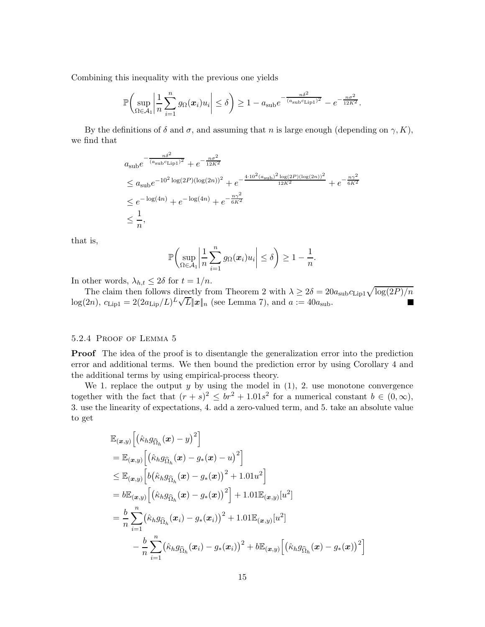Combining this inequality with the previous one yields

$$
\mathbb{P}\bigg(\sup_{\Omega\in\mathcal{A}_1}\bigg|\frac{1}{n}\sum_{i=1}^ng_\Omega(\boldsymbol{x}_i)u_i\bigg|\leq \delta\bigg)\geq 1-a_{\mathrm{sub}}e^{-\frac{n\delta^2}{(a_{\mathrm{sub}}c_{\mathrm{Lip1}})^2}}-e^{-\frac{n\sigma^2}{12K^2}}.
$$

By the definitions of  $\delta$  and  $\sigma$ , and assuming that n is large enough (depending on  $\gamma$ , K), we find that

$$
a_{\text{sub}}e^{-\frac{n\delta^2}{(a_{\text{sub}}c_{\text{Lip1}})^2} + e^{-\frac{n\sigma^2}{12K^2}}}
$$
  
\n
$$
\leq a_{\text{sub}}e^{-10^2 \log(2P)(\log(2n))^2} + e^{-\frac{4 \cdot 10^2 (a_{\text{sub}})^2 \log(2P)(\log(2n))^2}{12K^2} + e^{-\frac{n\gamma^2}{6K^2}}}
$$
  
\n
$$
\leq e^{-\log(4n)} + e^{-\log(4n)} + e^{-\frac{n\gamma^2}{6K^2}}
$$
  
\n
$$
\leq \frac{1}{n},
$$

that is,

$$
\mathbb{P}\bigg(\sup_{\Omega\in\mathcal{A}_1}\bigg|\frac{1}{n}\sum_{i=1}^n g_{\Omega}(\boldsymbol{x}_i)u_i\bigg|\leq \delta\bigg)\geq 1-\frac{1}{n}.
$$

In other words,  $\lambda_{h,t} \leq 2\delta$  for  $t = 1/n$ .

The claim then follows directly from Theorem [2](#page-5-1) with  $\lambda \geq 2\delta = 20a_{\text{sub}}c_{\text{Lip1}}\sqrt{\log(2P)/n}$  $\log(2n)$ ,  $c_{\text{Lip1}} = 2(2a_{\text{Lip}}/L)^L \sqrt{L} ||\mathbf{x}||_n$  (see Lemma [7\)](#page-8-2), and  $a := 40a_{\text{sub}}$ .

## 5.2.4 Proof of Lemma [5](#page-7-0)

**Proof** The idea of the proof is to disentangle the generalization error into the prediction error and additional terms. We then bound the prediction error by using Corollary [4](#page-7-1) and the additional terms by using empirical-process theory.

We 1. replace the output  $y$  by using the model in  $(1)$ , 2. use monotone convergence together with the fact that  $(r + s)^2 \le br^2 + 1.01s^2$  for a numerical constant  $b \in (0, \infty)$ , 3. use the linearity of expectations, 4. add a zero-valued term, and 5. take an absolute value to get

$$
\mathbb{E}_{(\boldsymbol{x},y)}\Big[\big(\hat{\kappa}_h g_{\widehat{\Omega}_h}(\boldsymbol{x}) - y\big)^2\Big] \n= \mathbb{E}_{(\boldsymbol{x},y)}\Big[\big(\hat{\kappa}_h g_{\widehat{\Omega}_h}(\boldsymbol{x}) - g_*(\boldsymbol{x}) - u\big)^2\Big] \n\leq \mathbb{E}_{(\boldsymbol{x},y)}\Big[b\big(\hat{\kappa}_h g_{\widehat{\Omega}_h}(\boldsymbol{x}) - g_*(\boldsymbol{x})\big)^2 + 1.01u^2\Big] \n= b\mathbb{E}_{(\boldsymbol{x},y)}\Big[\big(\hat{\kappa}_h g_{\widehat{\Omega}_h}(\boldsymbol{x}) - g_*(\boldsymbol{x})\big)^2\Big] + 1.01\mathbb{E}_{(\boldsymbol{x},y)}[u^2] \n= \frac{b}{n}\sum_{i=1}^n \big(\hat{\kappa}_h g_{\widehat{\Omega}_h}(\boldsymbol{x}_i) - g_*(\boldsymbol{x}_i)\big)^2 + 1.01\mathbb{E}_{(\boldsymbol{x},y)}[u^2] \n- \frac{b}{n}\sum_{i=1}^n \big(\hat{\kappa}_h g_{\widehat{\Omega}_h}(\boldsymbol{x}_i) - g_*(\boldsymbol{x}_i)\big)^2 + b\mathbb{E}_{(\boldsymbol{x},y)}\Big[\big(\hat{\kappa}_h g_{\widehat{\Omega}_h}(\boldsymbol{x}) - g_*(\boldsymbol{x})\big)^2\Big]
$$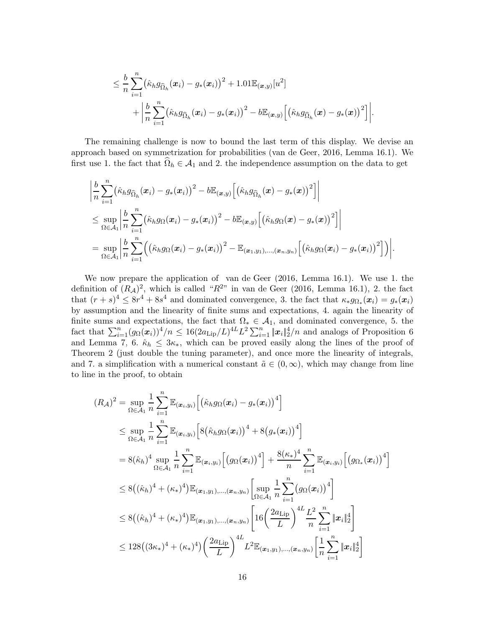$$
\leq \frac{b}{n} \sum_{i=1}^{n} (\hat{\kappa}_{h} g_{\widehat{\Omega}_{h}}(\boldsymbol{x}_{i}) - g_{*}(\boldsymbol{x}_{i}))^{2} + 1.01 \mathbb{E}_{(\boldsymbol{x},y)}[u^{2}] + \left| \frac{b}{n} \sum_{i=1}^{n} (\hat{\kappa}_{h} g_{\widehat{\Omega}_{h}}(\boldsymbol{x}_{i}) - g_{*}(\boldsymbol{x}_{i}))^{2} - b \mathbb{E}_{(\boldsymbol{x},y)}[(\hat{\kappa}_{h} g_{\widehat{\Omega}_{h}}(\boldsymbol{x}) - g_{*}(\boldsymbol{x}))^{2}] \right|.
$$

The remaining challenge is now to bound the last term of this display. We devise an approach based on symmetrization for probabilities [\(van de](#page-29-9) Geer, [2016](#page-29-9), Lemma 16.1). We first use 1. the fact that  $\Omega_h \in \mathcal{A}_1$  and 2. the independence assumption on the data to get

$$
\begin{split} &\bigg|\frac{b}{n}\sum_{i=1}^n\bigl(\hat{\kappa}_h g_{\widehat{\Omega}_h}(\boldsymbol{x}_i)-g_*(\boldsymbol{x}_i)\bigr)^2-b\mathbb{E}_{(\boldsymbol{x},y)}\Bigl[\bigl(\hat{\kappa}_h g_{\widehat{\Omega}_h}(\boldsymbol{x})-g_*(\boldsymbol{x})\bigr)^2\Bigr]\bigg|\\ &\leq \sup_{\Omega\in\mathcal{A}_1}\bigg|\frac{b}{n}\sum_{i=1}^n\bigl(\hat{\kappa}_h g_{\Omega}(\boldsymbol{x}_i)-g_*(\boldsymbol{x}_i)\bigr)^2-b\mathbb{E}_{(\boldsymbol{x},y)}\Bigl[\bigl(\hat{\kappa}_h g_{\Omega}(\boldsymbol{x})-g_*(\boldsymbol{x})\bigr)^2\Bigr]\bigg|\\ &=\sup_{\Omega\in\mathcal{A}_1}\bigg|\frac{b}{n}\sum_{i=1}^n\Bigl(\bigl(\hat{\kappa}_h g_{\Omega}(\boldsymbol{x}_i)-g_*(\boldsymbol{x}_i)\bigr)^2-\mathbb{E}_{(\boldsymbol{x}_1,y_1),\dots,(\boldsymbol{x}_n,y_n)}\Bigl[\bigl(\hat{\kappa}_h g_{\Omega}(\boldsymbol{x}_i)-g_*(\boldsymbol{x}_i)\bigr)^2\Bigr]\Bigr)\bigg|. \end{split}
$$

We now prepare the application of [van de Geer \(2016,](#page-29-9) Lemma 16.1). We use 1. the definition of  $(R_A)^2$ , which is called " $R^{2n}$  in [van de Geer \(2016](#page-29-9), Lemma 16.1), 2. the fact that  $(r + s)^4 \leq 8r^4 + 8s^4$  and dominated convergence, 3. the fact that  $\kappa_* g_{\Omega_*}(x_i) = g_*(x_i)$ by assumption and the linearity of finite sums and expectations, 4. again the linearity of finite sums and expectations, the fact that  $\Omega_* \in \mathcal{A}_1$ , and dominated convergence, 5. the fact that  $\sum_{i=1}^n (g_\Omega(\boldsymbol{x}_i))^4/n \leq 16(2a_{\text{Lip}}/L)^{4L}L^2\sum_{i=1}^n \|\boldsymbol{x}_i\|_2^4/n$  and analogs of Proposition [6](#page-8-1) and Lemma [7,](#page-8-2) 6.  $\hat{\kappa}_h \leq 3\kappa_*$ , which can be proved easily along the lines of the proof of Theorem [2](#page-5-1) (just double the tuning parameter), and once more the linearity of integrals, and 7. a simplification with a numerical constant  $\tilde{a} \in (0,\infty)$ , which may change from line to line in the proof, to obtain

$$
(R_{\mathcal{A}})^{2} = \sup_{\Omega \in \mathcal{A}_{1}} \frac{1}{n} \sum_{i=1}^{n} \mathbb{E}_{(\boldsymbol{x}_{i},y_{i})} \Big[ \big(\hat{\kappa}_{h} g_{\Omega}(\boldsymbol{x}_{i}) - g_{*}(\boldsymbol{x}_{i})\big)^{4} \Big] \n\leq \sup_{\Omega \in \mathcal{A}_{1}} \frac{1}{n} \sum_{i=1}^{n} \mathbb{E}_{(\boldsymbol{x}_{i},y_{i})} \Big[ 8 \big(\hat{\kappa}_{h} g_{\Omega}(\boldsymbol{x}_{i})\big)^{4} + 8 \big(g_{*}(\boldsymbol{x}_{i})\big)^{4} \Big] \n= 8 (\hat{\kappa}_{h})^{4} \sup_{\Omega \in \mathcal{A}_{1}} \frac{1}{n} \sum_{i=1}^{n} \mathbb{E}_{(\boldsymbol{x}_{i},y_{i})} \Big[ \big(g_{\Omega}(\boldsymbol{x}_{i})\big)^{4} \Big] + \frac{8(\kappa_{*})^{4}}{n} \sum_{i=1}^{n} \mathbb{E}_{(\boldsymbol{x}_{i},y_{i})} \Big[ \big(g_{\Omega_{*}}(\boldsymbol{x}_{i})\big)^{4} \Big] \n\leq 8 \big( (\hat{\kappa}_{h})^{4} + (\kappa_{*})^{4} \big) \mathbb{E}_{(\boldsymbol{x}_{1},y_{1}),\dots,(\boldsymbol{x}_{n},y_{n})} \Big[ \sup_{\Omega \in \mathcal{A}_{1}} \frac{1}{n} \sum_{i=1}^{n} \big(g_{\Omega}(\boldsymbol{x}_{i})\big)^{4} \Big] \n\leq 8 \big( (\hat{\kappa}_{h})^{4} + (\kappa_{*})^{4} \big) \mathbb{E}_{(\boldsymbol{x}_{1},y_{1}),\dots,(\boldsymbol{x}_{n},y_{n})} \Big[ 16 \bigg( \frac{2a_{\text{Lip}}}{L} \bigg)^{4L} \frac{L^{2}}{n} \sum_{i=1}^{n} \|\boldsymbol{x}_{i}\|_{2}^{4} \Big] \n\leq 128 \big( (3\kappa_{*})^{4} + (\kappa_{*})^{4} \big) \bigg( \frac{2a_{\text{Lip}}}{L} \bigg)^{4L} L^{2} \mathbb{E}_{(\boldsymbol{x}_{1},y_{1}),\dots,(\boldsymbol{x}_{n},y_{n})} \Big
$$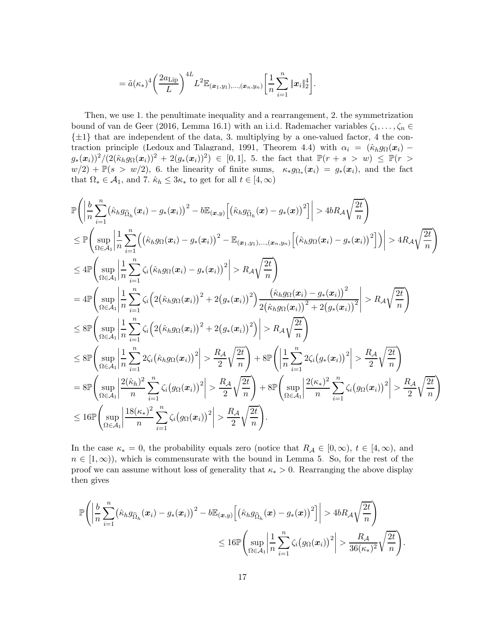$$
= \tilde{a}(\kappa_*)^4 \left(\frac{2a_{\text{Lip}}}{L}\right)^4 L^2 \mathbb{E}_{(\boldsymbol{x}_1, y_1), ..., (\boldsymbol{x}_n, y_n)} \left[\frac{1}{n} \sum_{i=1}^n \|\boldsymbol{x}_i\|_2^4\right].
$$

Then, we use 1. the penultimate inequality and a rearrangement, 2. the symmetrization bound of [van de Geer \(2016,](#page-29-9) Lemma 16.1) with an i.i.d. Rademacher variables  $\zeta_1, \ldots, \zeta_n \in$  $\{\pm 1\}$  that are independent of the data, 3. multiplying by a one-valued factor, 4 the con-traction principle [\(Ledoux and Talagrand](#page-28-17), [1991](#page-28-17), Theorem 4.4) with  $\alpha_i = (\hat{\kappa}_h g_\Omega(\boldsymbol{x}_i)$  $g_*(\bm{x}_i))^2/(2(\hat{\kappa}_h g_\Omega(\bm{x}_i))^2 + 2(g_*(\bm{x}_i))^2) \in [0,1],$  5. the fact that  $\mathbb{P}(r + s > w) \leq \mathbb{P}(r >$  $w(2) + \mathbb{P}(s > w/2)$ , 6. the linearity of finite sums,  $\kappa_* g_{\Omega_*}(x_i) = g_*(x_i)$ , and the fact that  $\Omega_* \in \mathcal{A}_1$ , and 7.  $\hat{\kappa}_h \leq 3\kappa_*$  to get for all  $t \in [4,\infty)$ 

$$
\mathbb{P}\left(\left|\frac{b}{n}\sum_{i=1}^{n}(\hat{\kappa}_{h}g_{\widehat{\Omega}_{h}}(x_{i})-g_{*}(x_{i}))^{2}-b\mathbb{E}_{(x,y)}\left[(\hat{\kappa}_{h}g_{\widehat{\Omega}_{h}}(x)-g_{*}(x))^{2}\right]\right|>4bR_{\mathcal{A}}\sqrt{\frac{2t}{n}}\right) \n\leq \mathbb{P}\left(\sup_{\Omega\in\mathcal{A}_{1}}\left|\frac{1}{n}\sum_{i=1}^{n}\left((\hat{\kappa}_{h}g_{\Omega}(x_{i})-g_{*}(x_{i}))^{2}-\mathbb{E}_{(x_{1},y_{1}),\dots,(x_{n},y_{n})}\left[(\hat{\kappa}_{h}g_{\Omega}(x_{i})-g_{*}(x_{i}))^{2}\right]\right)\right|>4R_{\mathcal{A}}\sqrt{\frac{2t}{n}}\right) \n\leq 4\mathbb{P}\left(\sup_{\Omega\in\mathcal{A}_{1}}\left|\frac{1}{n}\sum_{i=1}^{n}\zeta_{i}(\hat{\kappa}_{h}g_{\Omega}(x_{i})-g_{*}(x_{i}))^{2}\right|>R_{\mathcal{A}}\sqrt{\frac{2t}{n}}\right) \n= 4\mathbb{P}\left(\sup_{\Omega\in\mathcal{A}_{1}}\left|\frac{1}{n}\sum_{i=1}^{n}\zeta_{i}\left(2(\hat{\kappa}_{h}g_{\Omega}(x_{i}))^{2}+2(g_{*}(x_{i}))^{2}\right)\frac{(\hat{\kappa}_{h}g_{\Omega}(x_{i})-g_{*}(x_{i}))^{2}}{2(\hat{\kappa}_{h}g_{\Omega}(x_{i}))^{2}+2(g_{*}(x_{i}))^{2}}\right|>R_{\mathcal{A}}\sqrt{\frac{2t}{n}}\right) \n\leq 8\mathbb{P}\left(\sup_{\Omega\in\mathcal{A}_{1}}\left|\frac{1}{n}\sum_{i=1}^{n}\zeta_{i}\left(2(\hat{\kappa}_{h}g_{\Omega}(x_{i}))^{2}+2(g_{*}(x_{i}))^{2}\right)\right|>R_{\mathcal{A}}\sqrt{\frac{2t}{n}}\right) \n\leq 8\mathbb{P}\left(\sup_{\Omega\in\mathcal{A}_{1}}\left|\frac{1}{n}\sum_{i=1}^{n}2\zeta_{i}(\hat{\
$$

In the case  $\kappa_* = 0$ , the probability equals zero (notice that  $R_A \in [0, \infty)$ ,  $t \in [4, \infty)$ , and  $n \in [1,\infty)$ , which is commensurate with the bound in Lemma [5.](#page-7-0) So, for the rest of the proof we can assume without loss of generality that  $\kappa_* > 0$ . Rearranging the above display then gives

$$
\mathbb{P}\Bigg(\bigg|\frac{b}{n}\sum_{i=1}^n\big(\hat{\kappa}_h g_{\widehat{\Omega}_h}(\boldsymbol{x}_i) - g_*(\boldsymbol{x}_i)\big)^2 - b\mathbb{E}_{(\boldsymbol{x},y)}\Big[\big(\hat{\kappa}_h g_{\widehat{\Omega}_h}(\boldsymbol{x}) - g_*(\boldsymbol{x})\big)^2\Big]\bigg| > 4bR_{\mathcal{A}}\sqrt{\frac{2t}{n}}\Bigg)
$$
  

$$
\leq 16\mathbb{P}\Bigg(\sup_{\Omega\in\mathcal{A}_1}\bigg|\frac{1}{n}\sum_{i=1}^n\zeta_i\big(g_{\Omega}(\boldsymbol{x}_i)\big)^2\bigg| > \frac{R_{\mathcal{A}}}{36(\kappa_*)^2}\sqrt{\frac{2t}{n}}\Bigg).
$$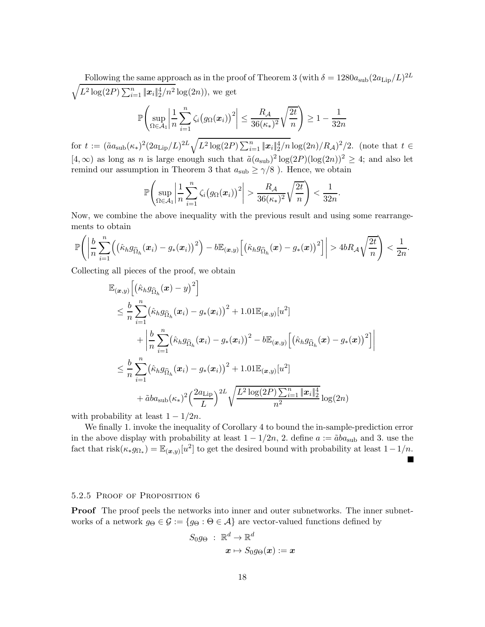Following the same approach as in the proof of Theorem [3](#page-6-0) (with  $\delta = 1280a_{\rm sub}(2a_{\rm Lip}/L)^{2L}$  $\sqrt{L^2 \log(2P) \sum_{i=1}^n ||x_i||_2^4/n^2} \log(2n)$ , we get

$$
\mathbb{P}\left(\sup_{\Omega\in\mathcal{A}_1}\left|\frac{1}{n}\sum_{i=1}^n\zeta_i\big(g_{\Omega}(\boldsymbol{x}_i)\big)^2\right|\leq\frac{R_{\mathcal{A}}}{36(\kappa_*)^2}\sqrt{\frac{2t}{n}}\right)\geq 1-\frac{1}{32n}
$$

for  $t := (\tilde{a}a_{\text{sub}}(\kappa_*)^2(2a_{\text{Lip}}/L)^{2L}\sqrt{L^2\log(2P)\sum_{i=1}^n \|\boldsymbol{x}_i\|_2^4/n}\log(2n)/R_{\mathcal{A}})^2/2.$  (note that  $t \in$  $[4,\infty)$  as long as n is large enough such that  $\tilde{a}(a_{sub})^2 \log(2P)(\log(2n))^2 \geq 4$ ; and also let remind our assumption in Theorem [3](#page-6-0) that  $a_{sub} \ge \gamma/8$ ). Hence, we obtain

$$
\mathbb{P}\left(\sup_{\Omega\in\mathcal{A}_1}\left|\frac{1}{n}\sum_{i=1}^n\zeta_i\big(g_{\Omega}(\boldsymbol{x}_i)\big)^2\right|>\frac{R_{\mathcal{A}}}{36(\kappa_*)^2}\sqrt{\frac{2t}{n}}\right)<\frac{1}{32n}
$$

.

Now, we combine the above inequality with the previous result and using some rearrangements to obtain

$$
\mathbb{P}\Bigg(\bigg|\frac{b}{n}\sum_{i=1}^n\Big(\big(\hat{\kappa}_h g_{\widehat{\Omega}_h}(\boldsymbol{x}_i)-g_*(\boldsymbol{x}_i)\big)^2\Big)-b\mathbb{E}_{(\boldsymbol{x},y)}\Big[\big(\hat{\kappa}_h g_{\widehat{\Omega}_h}(\boldsymbol{x})-g_*(\boldsymbol{x})\big)^2\Big]\bigg|>4bR_{\mathcal{A}}\sqrt{\frac{2t}{n}}\Bigg)<\frac{1}{2n}.
$$

Collecting all pieces of the proof, we obtain

$$
\mathbb{E}_{(\boldsymbol{x},y)}\Big[\big(\hat{\kappa}_h g_{\widehat{\Omega}_h}(\boldsymbol{x}) - y\big)^2\Big] \n\leq \frac{b}{n} \sum_{i=1}^n \big(\hat{\kappa}_h g_{\widehat{\Omega}_h}(\boldsymbol{x}_i) - g_*(\boldsymbol{x}_i)\big)^2 + 1.01 \mathbb{E}_{(\boldsymbol{x},y)}[u^2] \n+ \bigg|\frac{b}{n} \sum_{i=1}^n \big(\hat{\kappa}_h g_{\widehat{\Omega}_h}(\boldsymbol{x}_i) - g_*(\boldsymbol{x}_i)\big)^2 - b \mathbb{E}_{(\boldsymbol{x},y)}\Big[\big(\hat{\kappa}_h g_{\widehat{\Omega}_h}(\boldsymbol{x}) - g_*(\boldsymbol{x})\big)^2\Big]\bigg| \n\leq \frac{b}{n} \sum_{i=1}^n \big(\hat{\kappa}_h g_{\widehat{\Omega}_h}(\boldsymbol{x}_i) - g_*(\boldsymbol{x}_i)\big)^2 + 1.01 \mathbb{E}_{(\boldsymbol{x},y)}[u^2] \n+ \tilde{a}ba_{\text{sub}}(\kappa_*)^2 \Big(\frac{2a_{\text{Lip}}}{L}\Big)^{2L} \sqrt{\frac{L^2 \log(2P) \sum_{i=1}^n \|\boldsymbol{x}_i\|_2^4}{n^2}} \log(2n)
$$

with probability at least  $1 - 1/2n$ .

We finally 1. invoke the inequality of Corollary [4](#page-7-1) to bound the in-sample-prediction error in the above display with probability at least  $1 - 1/2n$ , 2. define  $a := \tilde{a}ba_{sub}$  and 3. use the fact that  $\text{risk}(\kappa_* g_{\Omega_*}) = \mathbb{E}_{(\boldsymbol{x},y)}[u^2]$  to get the desired bound with probability at least  $1-1/n$ . Ш

## 5.2.5 PROOF OF PROPOSITION [6](#page-8-1)

**Proof** The proof peels the networks into inner and outer subnetworks. The inner subnetworks of a network  $g_{\Theta} \in \mathcal{G} := \{g_{\Theta} : \Theta \in \mathcal{A}\}\$ are vector-valued functions defined by

$$
\begin{aligned} S_0g_{\Theta} \ : \ \mathbb{R}^d \rightarrow \mathbb{R}^d \\ x \mapsto S_0g_{\Theta}(x) := x \end{aligned}
$$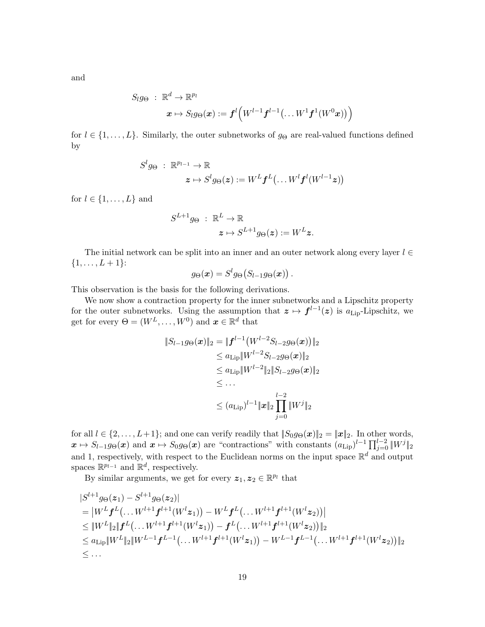and

$$
S_l g_\Theta~:~\mathbb{R}^d \to \mathbb{R}^{p_l} \qquad \qquad \boldsymbol{x} \mapsto S_l g_\Theta(\boldsymbol{x}) := \boldsymbol{f}^l \Big(W^{l-1} \boldsymbol{f}^{l-1} \big( \dots W^{1} \boldsymbol{f}^1 (W^{0} \boldsymbol{x}) \big) \Big)
$$

for  $l \in \{1, \ldots, L\}$ . Similarly, the outer subnetworks of  $g_{\Theta}$  are real-valued functions defined by

$$
S^{l}g_{\Theta} : \mathbb{R}^{p_{l-1}} \to \mathbb{R}
$$
  

$$
\boldsymbol{z} \mapsto S^{l}g_{\Theta}(\boldsymbol{z}) := W^{L}\boldsymbol{f}^{L}(\dots W^{l}\boldsymbol{f}^{l}(W^{l-1}\boldsymbol{z}))
$$

for  $l \in \{1, \ldots, L\}$  and

$$
\begin{array}{ll} S^{L+1}g_{\Theta}& : \; \mathbb{R}^L \rightarrow \mathbb{R} \\ & z \mapsto S^{L+1}g_{\Theta}(\boldsymbol{z}) := W^L \boldsymbol{z}. \end{array}
$$

The initial network can be split into an inner and an outer network along every layer  $l \in$  $\{1, \ldots, L+1\}$ :  $l_{\rm L}$  $\frac{1}{2}$ 

$$
g_{\Theta}(\boldsymbol{x}) = S^l g_{\Theta}(S_{l-1}g_{\Theta}(\boldsymbol{x}))\,.
$$

This observation is the basis for the following derivations.

We now show a contraction property for the inner subnetworks and a Lipschitz property for the outer subnetworks. Using the assumption that  $z \mapsto f^{l-1}(z)$  is  $a_{\text{Lip}}$ -Lipschitz, we get for every  $\Theta = (W^L, \dots, W^0)$  and  $\mathbf{x} \in \mathbb{R}^d$  that

$$
||S_{l-1}g_{\Theta}(\boldsymbol{x})||_2 = ||\boldsymbol{f}^{l-1}(W^{l-2}S_{l-2}g_{\Theta}(\boldsymbol{x}))||_2
$$
  
\n
$$
\leq a_{\text{Lip}}||W^{l-2}S_{l-2}g_{\Theta}(\boldsymbol{x})||_2
$$
  
\n
$$
\leq a_{\text{Lip}}||W^{l-2}||_2||S_{l-2}g_{\Theta}(\boldsymbol{x})||_2
$$
  
\n
$$
\leq \dots
$$
  
\n
$$
\leq (a_{\text{Lip}})^{l-1}||\boldsymbol{x}||_2 \prod_{j=0}^{l-2}||W^j||_2
$$

for all  $l \in \{2, ..., L+1\}$ ; and one can verify readily that  $||S_0 g_{\Theta}(\boldsymbol{x})||_2 = ||\boldsymbol{x}||_2$ . In other words,  $x \mapsto S_{l-1}g_{\Theta}(x)$  and  $x \mapsto S_0g_{\Theta}(x)$  are "contractions" with constants  $(a_{\text{Lip}})^{l-1}\prod_{j=0}^{l-2} \|W^j\|_2$ and 1, respectively, with respect to the Euclidean norms on the input space  $\mathbb{R}^d$  and output spaces  $\mathbb{R}^{p_{l-1}}$  and  $\mathbb{R}^d$ , respectively.

By similar arguments, we get for every  $\boldsymbol{z}_1, \boldsymbol{z}_2 \in \mathbb{R}^{p_l}$  that

$$
|S^{l+1}g_{\Theta}(z_1) - S^{l+1}g_{\Theta}(z_2)|
$$
  
\n
$$
= |W^Lf^L(\dots W^{l+1}f^{l+1}(W^lz_1)) - W^Lf^L(\dots W^{l+1}f^{l+1}(W^lz_2))|
$$
  
\n
$$
\leq \|W^L\|_2 \|f^L(\dots W^{l+1}f^{l+1}(W^lz_1)) - f^L(\dots W^{l+1}f^{l+1}(W^lz_2))\|_2
$$
  
\n
$$
\leq a_{\text{Lip}} \|W^L\|_2 \|W^{L-1}f^{L-1}(\dots W^{l+1}f^{l+1}(W^lz_1)) - W^{L-1}f^{L-1}(\dots W^{l+1}f^{l+1}(W^lz_2))\|_2
$$
  
\n
$$
\leq \dots
$$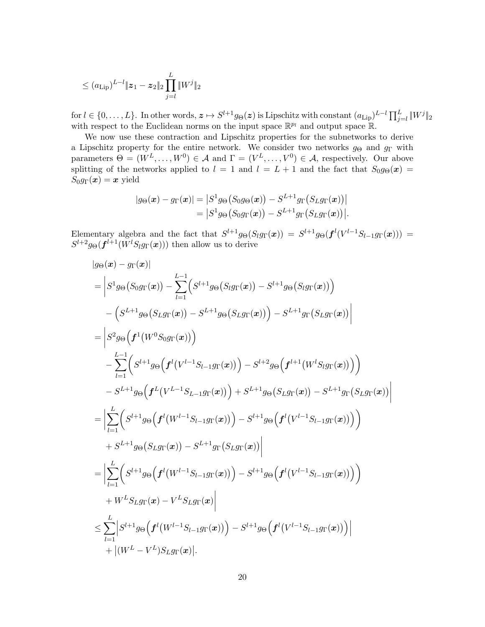$$
\leq (a_{\rm Lip})^{L-l} \|z_1 - z_2\|_2 \prod_{j=l}^L \|W^j\|_2
$$

 $\text{for } l \in \{0, \ldots, L\}$ . In other words,  $\boldsymbol{z} \mapsto S^{l+1} g_{\Theta}(\boldsymbol{z})$  is Lipschitz with constant  $(a_{\text{Lip}})^{L-l} \prod_{j=l}^{L} \|W^j\|_2$ with respect to the Euclidean norms on the input space  $\mathbb{R}^{p_l}$  and output space  $\mathbb{R}$ .

We now use these contraction and Lipschitz properties for the subnetworks to derive a Lipschitz property for the entire network. We consider two networks  $g_{\Theta}$  and  $g_{\Gamma}$  with parameters  $\Theta = (W^L, \dots, W^0) \in \mathcal{A}$  and  $\Gamma = (V^L, \dots, V^0) \in \mathcal{A}$ , respectively. Our above splitting of the networks applied to  $l = 1$  and  $l = L + 1$  and the fact that  $S_0 g_{\Theta}(\mathbf{x}) =$  $S_0 g_\Gamma(\boldsymbol{x}) = \boldsymbol{x}$  yield

$$
|g_{\Theta}(\boldsymbol{x}) - g_{\Gamma}(\boldsymbol{x})| = |S^1 g_{\Theta}(S_0 g_{\Theta}(\boldsymbol{x})) - S^{L+1} g_{\Gamma}(S_L g_{\Gamma}(\boldsymbol{x}))|
$$
  
=  $|S^1 g_{\Theta}(S_0 g_{\Gamma}(\boldsymbol{x})) - S^{L+1} g_{\Gamma}(S_L g_{\Gamma}(\boldsymbol{x}))|.$ 

Elementary algebra and the fact that  $S^{l+1}g_{\Theta}(S_lg_{\Gamma}(\boldsymbol{x})) = S^{l+1}g_{\Theta}(\boldsymbol{f}^l(V^{l-1}S_{l-1}g_{\Gamma}(\boldsymbol{x}))) =$  $S^{l+2}g_{\Theta}(\boldsymbol{f}^{l+1}(W^{l}S_{l}g_{\Gamma}(\boldsymbol{x})))$  then allow us to derive

$$
|g_{\Theta}(\mathbf{x}) - g_{\Gamma}(\mathbf{x})|
$$
\n
$$
= \left| S^{1}g_{\Theta}(S_{0}g_{\Gamma}(\mathbf{x})) - \sum_{l=1}^{L-1} (S^{l+1}g_{\Theta}(S_{l}g_{\Gamma}(\mathbf{x})) - S^{l+1}g_{\Theta}(S_{l}g_{\Gamma}(\mathbf{x})) \right) \right|
$$
\n
$$
- (S^{L+1}g_{\Theta}(S_{L}g_{\Gamma}(\mathbf{x})) - S^{L+1}g_{\Theta}(S_{L}g_{\Gamma}(\mathbf{x})) ) - S^{L+1}g_{\Gamma}(S_{L}g_{\Gamma}(\mathbf{x})) \right|
$$
\n
$$
= \left| S^{2}g_{\Theta} \left( \mathbf{f}^{1} (W^{0}S_{0}g_{\Gamma}(\mathbf{x})) \right)
$$
\n
$$
- \sum_{l=1}^{L-1} (S^{l+1}g_{\Theta} \left( \mathbf{f}^{l} (V^{l-1}S_{l-1}g_{\Gamma}(\mathbf{x})) \right) - S^{l+2}g_{\Theta} \left( \mathbf{f}^{l+1} (W^{l}S_{l}g_{\Gamma}(\mathbf{x})) \right) \right)
$$
\n
$$
- S^{L+1}g_{\Theta} \left( \mathbf{f}^{L} (V^{L-1}S_{L-1}g_{\Gamma}(\mathbf{x})) \right) + S^{L+1}g_{\Theta}(S_{L}g_{\Gamma}(\mathbf{x})) - S^{L+1}g_{\Gamma}(S_{L}g_{\Gamma}(\mathbf{x})) \right|
$$
\n
$$
= \left| \sum_{l=1}^{L} (S^{l+1}g_{\Theta} \left( \mathbf{f}^{l} (W^{l-1}S_{l-1}g_{\Gamma}(\mathbf{x})) \right) - S^{l+1}g_{\Theta} \left( \mathbf{f}^{l} (V^{l-1}S_{l-1}g_{\Gamma}(\mathbf{x})) \right) \right|
$$
\n
$$
+ S^{L+1}g_{\Theta}(S_{L}g_{\Gamma}(\mathbf{x})) - S^{L+1}g_{\Gamma}(S_{L}g_{\Gamma}(\mathbf{x})) \right|
$$
\n
$$
= \left| \sum_{l=1}^{L} (S^{l+1}g_{\Theta} \left( \mathbf{f}^{l} (
$$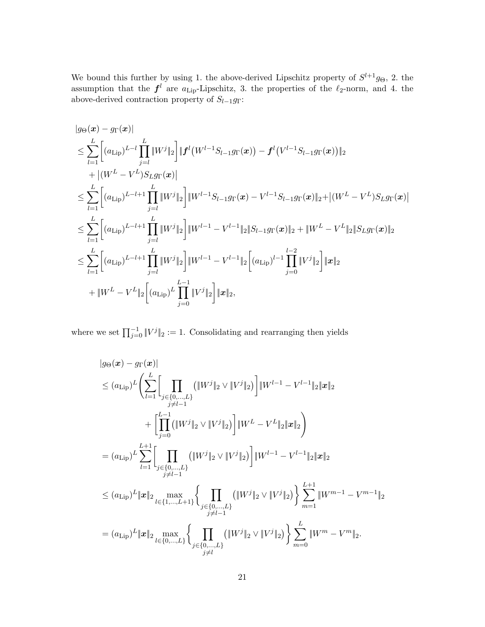We bound this further by using 1. the above-derived Lipschitz property of  $S^{l+1}g_{\Theta}$ , 2. the assumption that the  $f^l$  are  $a_{\text{Lip}}$ -Lipschitz, 3. the properties of the  $\ell_2$ -norm, and 4. the above-derived contraction property of  $S_{l-1}g_{\Gamma}$ :

$$
|g_{\Theta}(\boldsymbol{x}) - g_{\Gamma}(\boldsymbol{x})|
$$
  
\n
$$
\leq \sum_{l=1}^{L} \left[ (a_{\text{Lip}})^{L-l} \prod_{j=l}^{L} \|W^{j}\|_{2} \right] \|f^{l}(W^{l-1}S_{l-1}g_{\Gamma}(\boldsymbol{x})) - f^{l}(V^{l-1}S_{l-1}g_{\Gamma}(\boldsymbol{x})) \|_{2}
$$
  
\n
$$
+ |(W^{L} - V^{L})S_{L}g_{\Gamma}(\boldsymbol{x})|
$$
  
\n
$$
\leq \sum_{l=1}^{L} \left[ (a_{\text{Lip}})^{L-l+1} \prod_{j=l}^{L} \|W^{j}\|_{2} \right] \|W^{l-1}S_{l-1}g_{\Gamma}(\boldsymbol{x}) - V^{l-1}S_{l-1}g_{\Gamma}(\boldsymbol{x})\|_{2} + |(W^{L} - V^{L})S_{L}g_{\Gamma}(\boldsymbol{x})|
$$
  
\n
$$
\leq \sum_{l=1}^{L} \left[ (a_{\text{Lip}})^{L-l+1} \prod_{j=l}^{L} \|W^{j}\|_{2} \right] \|W^{l-1} - V^{l-1}\|_{2} \|S_{l-1}g_{\Gamma}(\boldsymbol{x})\|_{2} + \|W^{L} - V^{L}\|_{2} \|S_{L}g_{\Gamma}(\boldsymbol{x})\|_{2}
$$
  
\n
$$
\leq \sum_{l=1}^{L} \left[ (a_{\text{Lip}})^{L-l+1} \prod_{j=l}^{L} \|W^{j}\|_{2} \right] \|W^{l-1} - V^{l-1}\|_{2} \left[ (a_{\text{Lip}})^{l-1} \prod_{j=0}^{l-2} \|V^{j}\|_{2} \right] \|x\|_{2}
$$
  
\n
$$
+ \|W^{L} - V^{L}\|_{2} \left[ (a_{\text{Lip}})^{L} \prod_{j=0}^{L-1} \|V^{j}\|_{2} \right] \|x\|_{2},
$$

where we set  $\prod_{j=0}^{-1} ||V^j||_2 := 1$ . Consolidating and rearranging then yields

$$
|g_{\Theta}(\boldsymbol{x}) - g_{\Gamma}(\boldsymbol{x})|
$$
  
\n
$$
\leq (a_{\text{Lip}})^{L} \Biggl\{ \sum_{l=1}^{L} \Biggl[ \prod_{\substack{j \in \{0,\ldots,L\} \\ j \neq l-1}} (\|W^{j}\|_{2} \vee \|V^{j}\|_{2}) \Biggr] \|W^{l-1} - V^{l-1}\|_{2} \|\boldsymbol{x}\|_{2}
$$
  
\n
$$
+ \Biggl[ \prod_{j=0}^{L-1} (\|W^{j}\|_{2} \vee \|V^{j}\|_{2}) \Biggr] \|W^{L} - V^{L}\|_{2} \|\boldsymbol{x}\|_{2}
$$
  
\n
$$
= (a_{\text{Lip}})^{L} \sum_{l=1}^{L+1} \Biggl[ \prod_{\substack{j \in \{0,\ldots,L\} \\ j \neq l-1}} (\|W^{j}\|_{2} \vee \|V^{j}\|_{2}) \Biggr] \|W^{l-1} - V^{l-1}\|_{2} \|\boldsymbol{x}\|_{2}
$$
  
\n
$$
\leq (a_{\text{Lip}})^{L} \|\boldsymbol{x}\|_{2} \max_{l \in \{1,\ldots,L+1\}} \Biggl\{ \prod_{\substack{j \in \{0,\ldots,L\} \\ j \neq l-1}} (\|W^{j}\|_{2} \vee \|V^{j}\|_{2}) \Biggr\} \sum_{m=1}^{L+1} \|W^{m-1} - V^{m-1}\|_{2}
$$
  
\n
$$
= (a_{\text{Lip}})^{L} \|\boldsymbol{x}\|_{2} \max_{l \in \{0,\ldots,L\}} \Biggl\{ \prod_{\substack{j \in \{0,\ldots,L\} \\ j \neq l}} (\|W^{j}\|_{2} \vee \|V^{j}\|_{2}) \Biggr\} \sum_{m=0}^{L} \|W^{m} - V^{m}\|_{2}.
$$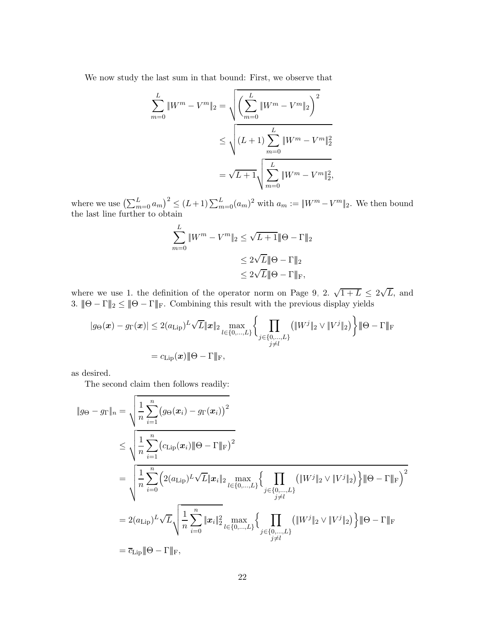We now study the last sum in that bound: First, we observe that

$$
\sum_{m=0}^{L} \|W^{m} - V^{m}\|_{2} = \sqrt{\left(\sum_{m=0}^{L} \|W^{m} - V^{m}\|_{2}\right)^{2}}
$$
  

$$
\leq \sqrt{(L+1) \sum_{m=0}^{L} \|W^{m} - V^{m}\|_{2}^{2}}
$$
  

$$
= \sqrt{L+1} \sqrt{\sum_{m=0}^{L} \|W^{m} - V^{m}\|_{2}^{2}},
$$

where we use  $\left(\sum_{m=0}^{L} a_m\right)^2 \le (L+1) \sum_{m=0}^{L} (a_m)^2$  with  $a_m := ||W^m - V^m||_2$ . We then bound the last line further to obtain

$$
\sum_{m=0}^{L} \|W^m - V^m\|_2 \le \sqrt{L+1} \|\Theta - \Gamma\|_2
$$
  

$$
\le 2\sqrt{L} \|\Theta - \Gamma\|_2
$$
  

$$
\le 2\sqrt{L} \|\Theta - \Gamma\|_{\mathrm{F}},
$$

where we use 1. the definition of the operator norm on Page [9,](#page-8-0) 2.  $\sqrt{1+L} \leq 2\sqrt{L}$ , and 3.  $\|\Theta - \Gamma\|_2 \leq \|\Theta - \Gamma\|_F$ . Combining this result with the previous display yields

$$
|g_{\Theta}(\boldsymbol{x}) - g_{\Gamma}(\boldsymbol{x})| \leq 2(a_{\text{Lip}})^{L} \sqrt{L} \|\boldsymbol{x}\|_{2} \max_{l \in \{0, \ldots, L\}} \left\{ \prod_{\substack{j \in \{0, \ldots, L\} \\ j \neq l}} \left( \|W^{j}\|_{2} \vee \|V^{j}\|_{2} \right) \right\} \|\Theta - \Gamma\|_{\text{F}}
$$
  
=  $c_{\text{Lip}}(\boldsymbol{x}) \|\Theta - \Gamma\|_{\text{F}},$ 

as desired.

The second claim then follows readily:

$$
\|g_{\Theta} - g_{\Gamma}\|_{n} = \sqrt{\frac{1}{n} \sum_{i=1}^{n} (g_{\Theta}(\mathbf{x}_{i}) - g_{\Gamma}(\mathbf{x}_{i}))^{2}}
$$
  
\n
$$
\leq \sqrt{\frac{1}{n} \sum_{i=1}^{n} (c_{\text{Lip}}(\mathbf{x}_{i}) \|\Theta - \Gamma\|_{\text{F}})^{2}}
$$
  
\n
$$
= \sqrt{\frac{1}{n} \sum_{i=0}^{n} (2(a_{\text{Lip}})^{L} \sqrt{L} \|\mathbf{x}_{i}\|_{2} \max_{l \in \{0, \dots, L\}} \left\{ \prod_{j \in \{0, \dots, L\}} (\|W^{j}\|_{2} \vee \|V^{j}\|_{2}) \right\} \|\Theta - \Gamma\|_{\text{F}})^{2}}
$$
  
\n
$$
= 2(a_{\text{Lip}})^{L} \sqrt{L} \sqrt{\frac{1}{n} \sum_{i=0}^{n} \|\mathbf{x}_{i}\|_{2}^{2} \max_{l \in \{0, \dots, L\}} \left\{ \prod_{j \in \{0, \dots, L\}} (\|W^{j}\|_{2} \vee \|V^{j}\|_{2}) \right\} \|\Theta - \Gamma\|_{\text{F}}}
$$
  
\n
$$
= \overline{c_{\text{Lip}}} \|\Theta - \Gamma\|_{\text{F}},
$$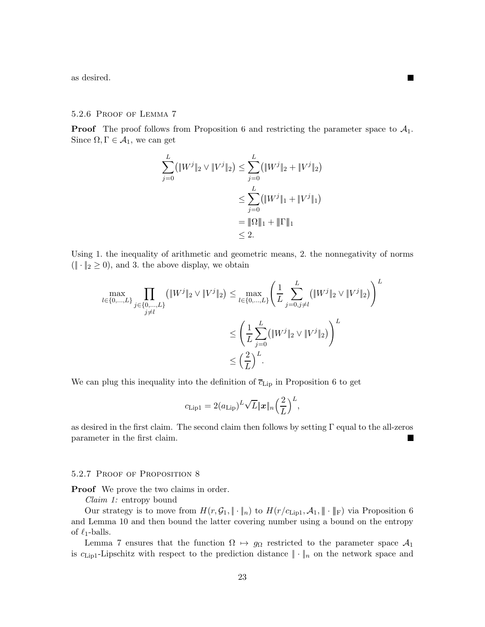as desired.

## 5.2.6 Proof of Lemma [7](#page-8-2)

**Proof** The proof follows from Proposition [6](#page-8-1) and restricting the parameter space to  $A_1$ . Since  $\Omega, \Gamma \in \mathcal{A}_1,$  we can get

П

$$
\sum_{j=0}^{L} (\|W^j\|_2 \vee \|V^j\|_2) \le \sum_{j=0}^{L} (\|W^j\|_2 + \|V^j\|_2)
$$
  

$$
\le \sum_{j=0}^{L} (\|W^j\|_1 + \|V^j\|_1)
$$
  

$$
= \|\Omega\|_1 + \|\Gamma\|_1
$$
  

$$
\le 2.
$$

Using 1. the inequality of arithmetic and geometric means, 2. the nonnegativity of norms  $(\|\cdot\|_2 \geq 0)$ , and 3. the above display, we obtain

$$
\max_{l \in \{0, \dots, L\}} \prod_{j \in \{0, \dots, L\}} (\|W^j\|_2 \vee \|V^j\|_2) \le \max_{l \in \{0, \dots, L\}} \left(\frac{1}{L} \sum_{j=0, j \neq l}^L (\|W^j\|_2 \vee \|V^j\|_2)\right)^L
$$
  

$$
\le \left(\frac{1}{L} \sum_{j=0}^L (\|W^j\|_2 \vee \|V^j\|_2)\right)^L
$$
  

$$
\le \left(\frac{2}{L}\right)^L.
$$

We can plug this inequality into the definition of  $\overline{c}_{\text{Lip}}$  in Proposition [6](#page-8-1) to get

$$
c_{\text{Lip1}} = 2(a_{\text{Lip}})^L \sqrt{L} ||\boldsymbol{x}||_n \left(\frac{2}{L}\right)^L,
$$

as desired in the first claim. The second claim then follows by setting Γ equal to the all-zeros parameter in the first claim.

#### 5.2.7 PROOF OF PROPOSITION [8](#page-9-2)

Proof We prove the two claims in order.

Claim 1: entropy bound

Our strategy is to move from  $H(r, \mathcal{G}_1, \|\cdot\|_n)$  to  $H(r/c_{\text{Lip1}}, \mathcal{A}_1, \|\cdot\|_F)$  via Proposition [6](#page-8-1) and Lemma [10](#page-10-1) and then bound the latter covering number using a bound on the entropy of  $\ell_1$ -balls.

Lemma [7](#page-8-2) ensures that the function  $\Omega \mapsto g_{\Omega}$  restricted to the parameter space  $\mathcal{A}_1$ is  $c_{\text{Lip1}}$ -Lipschitz with respect to the prediction distance  $\|\cdot\|_n$  on the network space and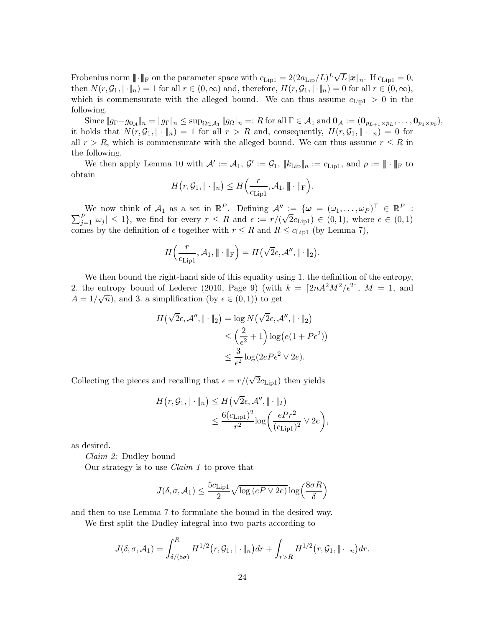Frobenius norm  $\|\cdot\|_{\text{F}}$  on the parameter space with  $c_{\text{Lip1}} = 2(2a_{\text{Lip}}/L)^{L}\sqrt{L}\|\boldsymbol{x}\|_{n}$ . If  $c_{\text{Lip1}} = 0$ , then  $N(r, \mathcal{G}_1, \|\cdot\|_n) = 1$  for all  $r \in (0, \infty)$  and, therefore,  $H(r, \mathcal{G}_1, \|\cdot\|_n) = 0$  for all  $r \in (0, \infty)$ , which is commensurate with the alleged bound. We can thus assume  $c_{\text{Lip1}} > 0$  in the following.

 $\text{Since } \|g_{\Gamma}-g_{\mathbf{0}_{\mathcal{A}}}\|_n = \|g_{\Gamma}\|_n \leq \sup_{\Omega \in \mathcal{A}_1} \|g_{\Omega}\|_n =: R \text{ for all } \Gamma \in \mathcal{A}_1 \text{ and } \mathbf{0}_{\mathcal{A}} := (\mathbf{0}_{p_{L+1} \times p_L}, \dots, \mathbf{0}_{p_1 \times p_0}),$ it holds that  $N(r, \mathcal{G}_1, \|\cdot\|_n) = 1$  for all  $r > R$  and, consequently,  $H(r, \mathcal{G}_1, \|\cdot\|_n) = 0$  for all  $r > R$ , which is commensurate with the alleged bound. We can thus assume  $r \leq R$  in the following.

We then apply Lemma [10](#page-10-1) with  $\mathcal{A}' := \mathcal{A}_1$ ,  $\mathcal{G}' := \mathcal{G}_1$ ,  $||k_{\text{Lip}}||_n := c_{\text{Lip1}}$ , and  $\rho := ||\cdot||_F$  to obtain

$$
H(r, \mathcal{G}_1, \|\cdot\|_n) \leq H\left(\frac{r}{c_{\text{Lip1}}}, \mathcal{A}_1, \|\cdot\|_{\text{F}}\right).
$$

We now think of  $\mathcal{A}_1$  as a set in  $\mathbb{R}^P$ . Defining  $\mathcal{A}'' := \{ \omega = (\omega_1, \dots, \omega_P)^\top \in \mathbb{R}^P \}$  $\sum$ We now think of  $\mathcal{A}_1$  as a set in  $\mathbb{R}^P$ . Defining  $\mathcal{A}'' := \{ \omega = (\omega_1, \dots, \omega_P) \mid \in \mathbb{R}^P :$ <br>  $\frac{P}{j=1} |\omega_j| \leq 1 \}$ , we find for every  $r \leq R$  and  $\epsilon := r/(\sqrt{2}c_{\text{Lip1}}) \in (0,1)$ , where  $\epsilon \in (0,1)$ comes by the definition of  $\epsilon$  together with  $r \leq R$  and  $R \leq c_{\text{Lip1}}$  (by Lemma [7\)](#page-8-2),

$$
H\left(\frac{r}{c_{\text{Lip1}}},\mathcal{A}_1,\|\cdot\|_{\text{F}}\right)=H\left(\sqrt{2}\epsilon,\mathcal{A}^{\prime\prime},\|\cdot\|_2\right).
$$

We then bound the right-hand side of this equality using 1. the definition of the entropy, 2. the entropy bound of [Lederer \(2010](#page-28-18), Page 9) (with  $k = \lceil 2nA^2M^2/\epsilon^2 \rceil$ ,  $M = 1$ , and  $A = 1/\sqrt{n}$ , and 3. a simplification (by  $\epsilon \in (0, 1)$ ) to get

$$
H(\sqrt{2}\epsilon, \mathcal{A}'', \|\cdot\|_2) = \log N(\sqrt{2}\epsilon, \mathcal{A}'', \|\cdot\|_2)
$$
  
\n
$$
\leq \left(\frac{2}{\epsilon^2} + 1\right) \log(e(1 + P\epsilon^2))
$$
  
\n
$$
\leq \frac{3}{\epsilon^2} \log(2eP\epsilon^2 \vee 2e).
$$

Collecting the pieces and recalling that  $\epsilon = r/(\sqrt{2}c_{\text{Lip1}})$  then yields

$$
H(r, \mathcal{G}_1, \|\cdot\|_n) \le H(\sqrt{2}\epsilon, \mathcal{A}'', \|\cdot\|_2)
$$
  

$$
\le \frac{6(c_{\text{Lip1}})^2}{r^2} \log \left(\frac{ePr^2}{(c_{\text{Lip1}})^2} \vee 2e\right),
$$

as desired.

Claim 2: Dudley bound

Our strategy is to use Claim 1 to prove that

$$
J(\delta, \sigma, \mathcal{A}_1) \le \frac{5c_{\text{Lip1}}}{2} \sqrt{\log(eP \vee 2e)} \log\left(\frac{8\sigma R}{\delta}\right)
$$

and then to use Lemma [7](#page-8-2) to formulate the bound in the desired way.

We first split the Dudley integral into two parts according to

$$
J(\delta, \sigma, \mathcal{A}_1) = \int_{\delta/(8\sigma)}^R H^{1/2}(r, \mathcal{G}_1, \|\cdot\|_n) dr + \int_{r>R} H^{1/2}(r, \mathcal{G}_1, \|\cdot\|_n) dr.
$$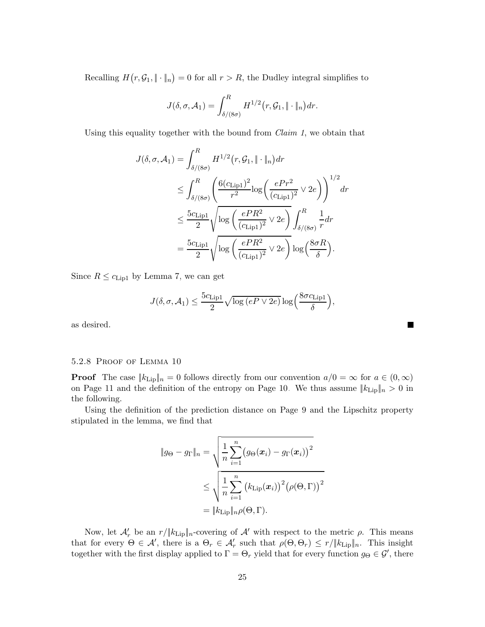Recalling  $H(r, \mathcal{G}_1, \|\cdot\|_n) = 0$  for all  $r > R$ , the Dudley integral simplifies to

$$
J(\delta,\sigma,\mathcal{A}_1)=\int_{\delta/(8\sigma)}^R H^{1/2}\big(r,\mathcal{G}_1,\|\cdot\|_n\big)dr.
$$

Using this equality together with the bound from Claim 1, we obtain that

$$
J(\delta, \sigma, \mathcal{A}_1) = \int_{\delta/(8\sigma)}^R H^{1/2}(r, \mathcal{G}_1, \|\cdot\|_n) dr
$$
  
\n
$$
\leq \int_{\delta/(8\sigma)}^R \left( \frac{6(c_{\text{Lip1}})^2}{r^2} \log \left( \frac{ePr^2}{(c_{\text{Lip1}})^2} \vee 2e \right) \right)^{1/2} dr
$$
  
\n
$$
\leq \frac{5c_{\text{Lip1}}}{2} \sqrt{\log \left( \frac{ePR^2}{(c_{\text{Lip1}})^2} \vee 2e \right)} \int_{\delta/(8\sigma)}^R \frac{1}{r} dr
$$
  
\n
$$
= \frac{5c_{\text{Lip1}}}{2} \sqrt{\log \left( \frac{ePR^2}{(c_{\text{Lip1}})^2} \vee 2e \right)} \log \left( \frac{8\sigma R}{\delta} \right).
$$

Since  $R \leq c_{\text{Lip1}}$  by Lemma [7,](#page-8-2) we can get

$$
J(\delta, \sigma, \mathcal{A}_1) \le \frac{5c_{\text{Lip1}}}{2} \sqrt{\log(eP \vee 2e)} \log\left(\frac{8\sigma c_{\text{Lip1}}}{\delta}\right)
$$

,

П

as desired.

## 5.2.8 Proof of Lemma [10](#page-10-1)

**Proof** The case  $||k_{\text{Lip}}||_n = 0$  follows directly from our convention  $a/0 = \infty$  for  $a \in (0, \infty)$ on Page [11](#page-10-1) and the definition of the entropy on Page [10.](#page-9-3) We thus assume  $||k_{\text{Lip}}||_n > 0$  in the following.

Using the definition of the prediction distance on Page [9](#page-8-0) and the Lipschitz property stipulated in the lemma, we find that

$$
||g_{\Theta} - g_{\Gamma}||_{n} = \sqrt{\frac{1}{n} \sum_{i=1}^{n} (g_{\Theta}(\boldsymbol{x}_{i}) - g_{\Gamma}(\boldsymbol{x}_{i}))^{2}}
$$
  

$$
\leq \sqrt{\frac{1}{n} \sum_{i=1}^{n} (k_{\text{Lip}}(\boldsymbol{x}_{i}))^{2} (\rho(\Theta, \Gamma))^{2}}
$$
  

$$
= ||k_{\text{Lip}}||_{n} \rho(\Theta, \Gamma).
$$

Now, let  $\mathcal{A}'_r$  be an  $r/||k_{\text{Lip}}||_n$ -covering of  $\mathcal{A}'$  with respect to the metric  $\rho$ . This means that for every  $\Theta \in \mathcal{A}'$ , there is a  $\Theta_r \in \mathcal{A}'_r$  such that  $\rho(\Theta, \Theta_r) \leq r / \|k_{\text{Lip}}\|_n$ . This insight together with the first display applied to  $\Gamma = \Theta_r$  yield that for every function  $g_{\Theta} \in \mathcal{G}'$ , there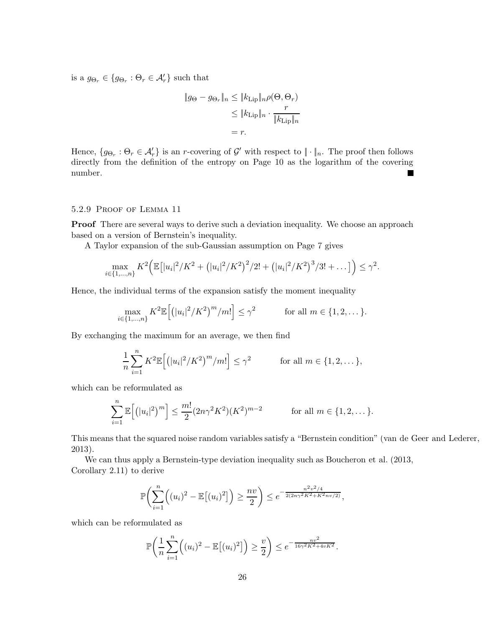is a  $g_{\Theta_r} \in \{ g_{\Theta_r} : \Theta_r \in \mathcal{A}'_r \}$  such that

$$
||g_{\Theta} - g_{\Theta_r}||_n \leq ||k_{\text{Lip}}||_n \rho(\Theta, \Theta_r)
$$
  
\n
$$
\leq ||k_{\text{Lip}}||_n \cdot \frac{r}{||k_{\text{Lip}}||_n}
$$
  
\n
$$
= r.
$$

Hence,  $\{g_{\Theta_r} : \Theta_r \in \mathcal{A}_r'\}$  is an r-covering of  $\mathcal{G}'$  with respect to  $\|\cdot\|_n$ . The proof then follows directly from the definition of the entropy on Page [10](#page-9-3) as the logarithm of the covering number.  $\blacksquare$ 

## 5.2.9 Proof of Lemma [11](#page-10-0)

**Proof** There are several ways to derive such a deviation inequality. We choose an approach based on a version of Bernstein's inequality.

A Taylor expansion of the sub-Gaussian assumption on Page [7](#page-5-0) gives

$$
\max_{i \in \{1,\dots,n\}} K^2 \Big( \mathbb{E} \big[ |u_i|^2 / K^2 + (|u_i|^2 / K^2)^2 / 2! + (|u_i|^2 / K^2)^3 / 3! + \dots \big] \Big) \leq \gamma^2.
$$

Hence, the individual terms of the expansion satisfy the moment inequality

$$
\max_{i \in \{1,\ldots,n\}} K^2 \mathbb{E}\Big[ \big(|u_i|^2/K^2\big)^m/m! \Big] \leq \gamma^2 \qquad \text{for all } m \in \{1,2,\ldots\}.
$$

By exchanging the maximum for an average, we then find

$$
\frac{1}{n}\sum_{i=1}^{n} K^2 \mathbb{E}\Big[ \big(|u_i|^2/K^2\big)^m/m! \Big] \leq \gamma^2 \qquad \text{for all } m \in \{1, 2, \dots\},
$$

which can be reformulated as

$$
\sum_{i=1}^{n} \mathbb{E}\Big[ (|u_i|^2)^m \Big] \le \frac{m!}{2} (2n\gamma^2 K^2) (K^2)^{m-2} \qquad \text{for all } m \in \{1, 2, \dots\}.
$$

This means that the squared noise random variables satisfy a "Bernstein condition" [\(van de Geer and Lederer,](#page-29-10) [2013\)](#page-29-10).

We can thus apply a Bernstein-type deviation inequality such as [Boucheron et al. \(2013](#page-27-12), Corollary 2.11) to derive

$$
\mathbb{P}\bigg(\sum_{i=1}^n \Big((u_i)^2 - \mathbb{E}\big[(u_i)^2\big]\bigg) \ge \frac{nv}{2}\bigg) \le e^{-\frac{n^2v^2/4}{2(2n\gamma^2 K^2 + K^2 nv/2)}},
$$

which can be reformulated as

$$
\mathbb{P}\bigg(\frac{1}{n}\sum_{i=1}^n \Big((u_i)^2 - \mathbb{E}[(u_i)^2]\Big) \ge \frac{v}{2}\bigg) \le e^{-\frac{nv^2}{16\gamma^2 K^2 + 4vK^2}}.
$$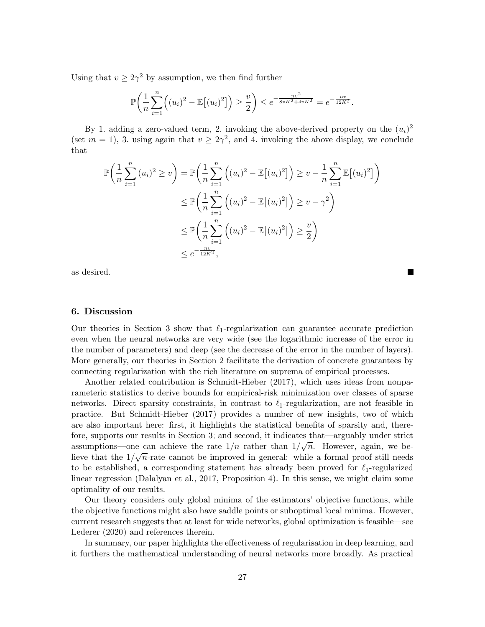Using that  $v \ge 2\gamma^2$  by assumption, we then find further

$$
\mathbb{P}\bigg(\frac{1}{n}\sum_{i=1}^n \Big((u_i)^2 - \mathbb{E}\big[(u_i)^2\big]\bigg) \ge \frac{v}{2}\bigg) \le e^{-\frac{nv^2}{8vK^2 + 4vK^2}} = e^{-\frac{nv}{12K^2}}.
$$

By 1. adding a zero-valued term, 2. invoking the above-derived property on the  $(u_i)^2$ (set  $m = 1$ ), 3. using again that  $v \geq 2\gamma^2$ , and 4. invoking the above display, we conclude that

$$
\mathbb{P}\left(\frac{1}{n}\sum_{i=1}^{n}(u_i)^2\geq v\right) = \mathbb{P}\left(\frac{1}{n}\sum_{i=1}^{n}\left((u_i)^2 - \mathbb{E}[(u_i)^2]\right)\geq v - \frac{1}{n}\sum_{i=1}^{n}\mathbb{E}[(u_i)^2]\right)
$$
  

$$
\leq \mathbb{P}\left(\frac{1}{n}\sum_{i=1}^{n}\left((u_i)^2 - \mathbb{E}[(u_i)^2]\right)\geq v - \gamma^2\right)
$$
  

$$
\leq \mathbb{P}\left(\frac{1}{n}\sum_{i=1}^{n}\left((u_i)^2 - \mathbb{E}[(u_i)^2]\right)\geq \frac{v}{2}\right)
$$
  

$$
\leq e^{-\frac{nv}{12K^2}},
$$

as desired.

## <span id="page-26-0"></span>6. Discussion

Our theories in Section [3](#page-5-0) show that  $\ell_1$ -regularization can guarantee accurate prediction even when the neural networks are very wide (see the logarithmic increase of the error in the number of parameters) and deep (see the decrease of the error in the number of layers). More generally, our theories in Section [2](#page-1-0) facilitate the derivation of concrete guarantees by connecting regularization with the rich literature on suprema of empirical processes.

Another related contribution is [Schmidt-Hieber \(2017\)](#page-29-2), which uses ideas from nonparameteric statistics to derive bounds for empirical-risk minimization over classes of sparse networks. Direct sparsity constraints, in contrast to  $\ell_1$ -regularization, are not feasible in practice. But [Schmidt-Hieber \(2017](#page-29-2)) provides a number of new insights, two of which are also important here: first, it highlights the statistical benefits of sparsity and, therefore, supports our results in Section [3;](#page-5-0) and second, it indicates that—arguably under strict assumptions—one can achieve the rate  $1/n$  rather than  $1/\sqrt{n}$ . However, again, we believe that the  $1/\sqrt{n}$ -rate cannot be improved in general: while a formal proof still needs to be established, a corresponding statement has already been proved for  $\ell_1$ -regularized linear regression [\(Dalalyan et al.](#page-27-13), [2017](#page-27-13), Proposition 4). In this sense, we might claim some optimality of our results.

Our theory considers only global minima of the estimators' objective functions, while the objective functions might also have saddle points or suboptimal local minima. However, current research suggests that at least for wide networks, global optimization is feasible—see [Lederer \(2020](#page-28-19)) and references therein.

In summary, our paper highlights the effectiveness of regularisation in deep learning, and it furthers the mathematical understanding of neural networks more broadly. As practical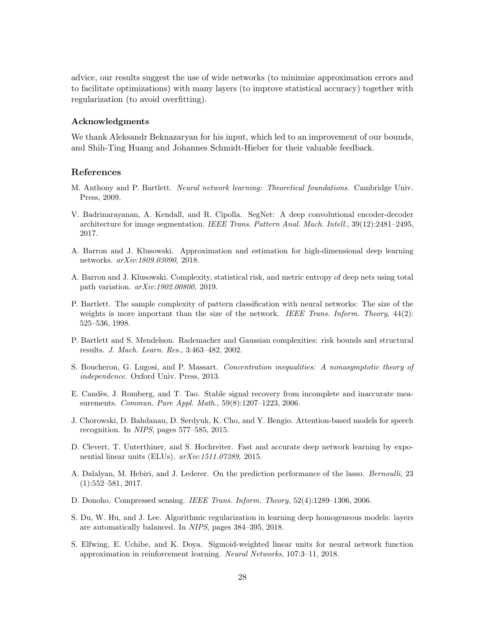advice, our results suggest the use of wide networks (to minimize approximation errors and to facilitate optimizations) with many layers (to improve statistical accuracy) together with regularization (to avoid overfitting).

## Acknowledgments

We thank Aleksandr Beknazaryan for his input, which led to an improvement of our bounds, and Shih-Ting Huang and Johannes Schmidt-Hieber for their valuable feedback.

## References

- <span id="page-27-2"></span>M. Anthony and P. Bartlett. Neural network learning: Theoretical foundations. Cambridge Univ. Press, 2009.
- <span id="page-27-1"></span>V. Badrinarayanan, A. Kendall, and R. Cipolla. SegNet: A deep convolutional encoder-decoder architecture for image segmentation. IEEE Trans. Pattern Anal. Mach. Intell., 39(12):2481–2495, 2017.
- <span id="page-27-5"></span>A. Barron and J. Klusowski. Approximation and estimation for high-dimensional deep learning networks. arXiv:1809.03090, 2018.
- <span id="page-27-6"></span>A. Barron and J. Klusowski. Complexity, statistical risk, and metric entropy of deep nets using total path variation. arXiv:1902.00800, 2019.
- <span id="page-27-3"></span>P. Bartlett. The sample complexity of pattern classification with neural networks: The size of the weights is more important than the size of the network. IEEE Trans. Inform. Theory,  $44(2)$ : 525–536, 1998.
- <span id="page-27-4"></span>P. Bartlett and S. Mendelson. Rademacher and Gaussian complexities: risk bounds and structural results. J. Mach. Learn. Res., 3:463–482, 2002.
- <span id="page-27-12"></span>S. Boucheron, G. Lugosi, and P. Massart. Concentration inequalities: A nonasymptotic theory of independence. Oxford Univ. Press, 2013.
- <span id="page-27-7"></span>E. Candès, J. Romberg, and T. Tao. Stable signal recovery from incomplete and inaccurate measurements. Commun. Pure Appl. Math., 59(8):1207–1223, 2006.
- <span id="page-27-0"></span>J. Chorowski, D. Bahdanau, D. Serdyuk, K. Cho, and Y. Bengio. Attention-based models for speech recognition. In NIPS, pages 577–585, 2015.
- <span id="page-27-10"></span>D. Clevert, T. Unterthiner, and S. Hochreiter. Fast and accurate deep network learning by exponential linear units (ELUs). arXiv:1511.07289, 2015.
- <span id="page-27-13"></span>A. Dalalyan, M. Hebiri, and J. Lederer. On the prediction performance of the lasso. Bernoulli, 23 (1):552–581, 2017.
- <span id="page-27-8"></span>D. Donoho. Compressed sensing. IEEE Trans. Inform. Theory, 52(4):1289–1306, 2006.
- <span id="page-27-9"></span>S. Du, W. Hu, and J. Lee. Algorithmic regularization in learning deep homogeneous models: layers are automatically balanced. In NIPS, pages 384–395, 2018.
- <span id="page-27-11"></span>S. Elfwing, E. Uchibe, and K. Doya. Sigmoid-weighted linear units for neural network function approximation in reinforcement learning. Neural Networks, 107:3–11, 2018.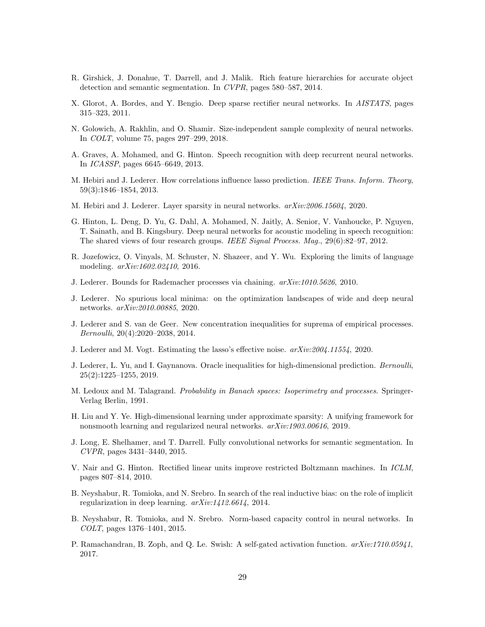- <span id="page-28-3"></span>R. Girshick, J. Donahue, T. Darrell, and J. Malik. Rich feature hierarchies for accurate object detection and semantic segmentation. In CVPR, pages 580–587, 2014.
- <span id="page-28-6"></span>X. Glorot, A. Bordes, and Y. Bengio. Deep sparse rectifier neural networks. In AISTATS, pages 315–323, 2011.
- <span id="page-28-13"></span>N. Golowich, A. Rakhlin, and O. Shamir. Size-independent sample complexity of neural networks. In COLT, volume 75, pages 297–299, 2018.
- <span id="page-28-1"></span>A. Graves, A. Mohamed, and G. Hinton. Speech recognition with deep recurrent neural networks. In ICASSP, pages 6645–6649, 2013.
- <span id="page-28-16"></span>M. Hebiri and J. Lederer. How correlations influence lasso prediction. IEEE Trans. Inform. Theory, 59(3):1846–1854, 2013.
- <span id="page-28-8"></span>M. Hebiri and J. Lederer. Layer sparsity in neural networks. arXiv:2006.15604, 2020.
- <span id="page-28-0"></span>G. Hinton, L. Deng, D. Yu, G. Dahl, A. Mohamed, N. Jaitly, A. Senior, V. Vanhoucke, P. Nguyen, T. Sainath, and B. Kingsbury. Deep neural networks for acoustic modeling in speech recognition: The shared views of four research groups. IEEE Signal Process. Mag., 29(6):82–97, 2012.
- <span id="page-28-2"></span>R. Jozefowicz, O. Vinyals, M. Schuster, N. Shazeer, and Y. Wu. Exploring the limits of language modeling. arXiv:1602.02410, 2016.
- <span id="page-28-18"></span>J. Lederer. Bounds for Rademacher processes via chaining. arXiv:1010.5626, 2010.
- <span id="page-28-19"></span>J. Lederer. No spurious local minima: on the optimization landscapes of wide and deep neural networks. arXiv:2010.00885, 2020.
- <span id="page-28-12"></span>J. Lederer and S. van de Geer. New concentration inequalities for suprema of empirical processes. Bernoulli, 20(4):2020–2038, 2014.
- <span id="page-28-10"></span>J. Lederer and M. Vogt. Estimating the lasso's effective noise. arXiv:2004.11554, 2020.
- <span id="page-28-11"></span>J. Lederer, L. Yu, and I. Gaynanova. Oracle inequalities for high-dimensional prediction. Bernoulli, 25(2):1225–1255, 2019.
- <span id="page-28-17"></span>M. Ledoux and M. Talagrand. Probability in Banach spaces: Isoperimetry and processes. Springer-Verlag Berlin, 1991.
- <span id="page-28-5"></span>H. Liu and Y. Ye. High-dimensional learning under approximate sparsity: A unifying framework for nonsmooth learning and regularized neural networks. arXiv:1903.00616, 2019.
- <span id="page-28-4"></span>J. Long, E. Shelhamer, and T. Darrell. Fully convolutional networks for semantic segmentation. In CVPR, pages 3431–3440, 2015.
- <span id="page-28-14"></span>V. Nair and G. Hinton. Rectified linear units improve restricted Boltzmann machines. In ICLM, pages 807–814, 2010.
- <span id="page-28-9"></span>B. Neyshabur, R. Tomioka, and N. Srebro. In search of the real inductive bias: on the role of implicit regularization in deep learning. arXiv:1412.6614, 2014.
- <span id="page-28-7"></span>B. Neyshabur, R. Tomioka, and N. Srebro. Norm-based capacity control in neural networks. In COLT, pages 1376–1401, 2015.
- <span id="page-28-15"></span>P. Ramachandran, B. Zoph, and Q. Le. Swish: A self-gated activation function.  $arXiv:1710.05941$ , 2017.